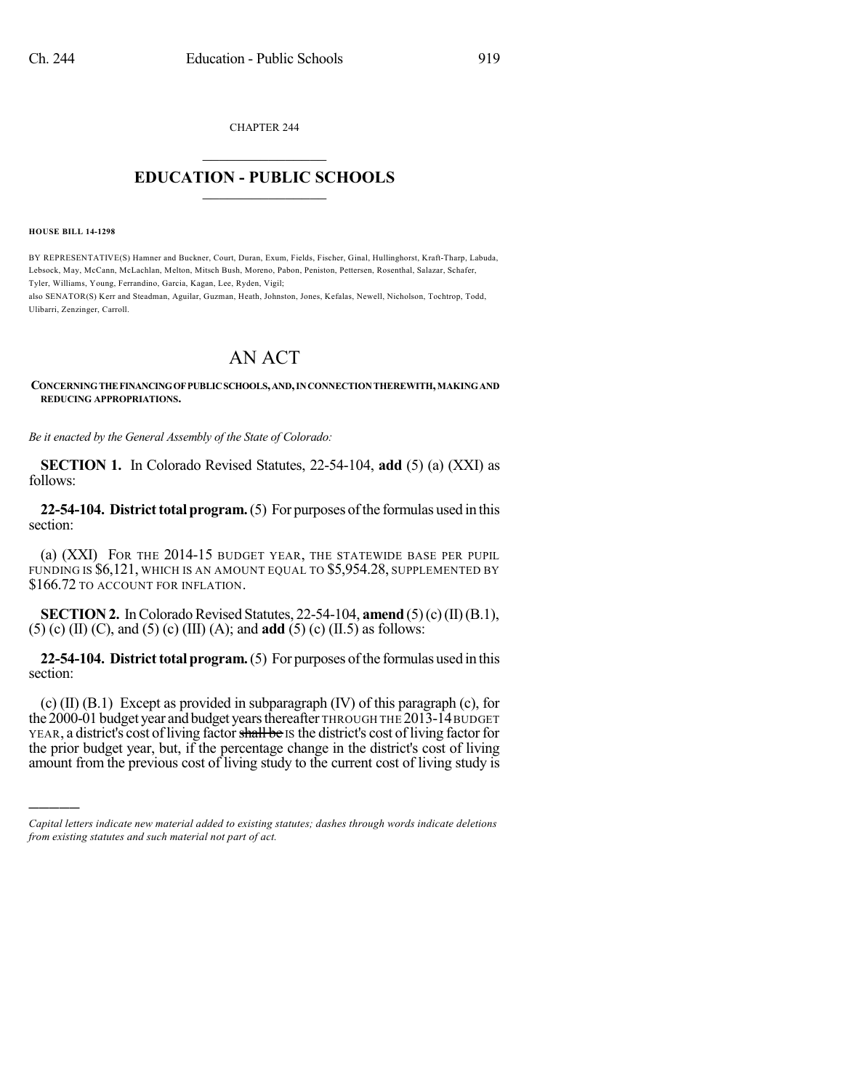CHAPTER 244  $\overline{\phantom{a}}$  . The set of the set of the set of the set of the set of the set of the set of the set of the set of the set of the set of the set of the set of the set of the set of the set of the set of the set of the set o

## **EDUCATION - PUBLIC SCHOOLS**  $\_$   $\_$   $\_$   $\_$   $\_$   $\_$   $\_$   $\_$   $\_$

**HOUSE BILL 14-1298**

)))))

BY REPRESENTATIVE(S) Hamner and Buckner, Court, Duran, Exum, Fields, Fischer, Ginal, Hullinghorst, Kraft-Tharp, Labuda, Lebsock, May, McCann, McLachlan, Melton, Mitsch Bush, Moreno, Pabon, Peniston, Pettersen, Rosenthal, Salazar, Schafer, Tyler, Williams, Young, Ferrandino, Garcia, Kagan, Lee, Ryden, Vigil; also SENATOR(S) Kerr and Steadman, Aguilar, Guzman, Heath, Johnston, Jones, Kefalas, Newell, Nicholson, Tochtrop, Todd,

Ulibarri, Zenzinger, Carroll.

## AN ACT

**CONCERNINGTHEFINANCINGOFPUBLICSCHOOLS,AND,INCONNECTIONTHEREWITH,MAKINGAND REDUCING APPROPRIATIONS.**

*Be it enacted by the General Assembly of the State of Colorado:*

**SECTION 1.** In Colorado Revised Statutes, 22-54-104, **add** (5) (a) (XXI) as follows:

**22-54-104. District total program.** (5) For purposes of the formulas used in this section:

(a) (XXI) FOR THE 2014-15 BUDGET YEAR, THE STATEWIDE BASE PER PUPIL FUNDING IS \$6,121, WHICH IS AN AMOUNT EQUAL TO \$5,954.28, SUPPLEMENTED BY \$166.72 TO ACCOUNT FOR INFLATION.

**SECTION 2.** In Colorado Revised Statutes, 22-54-104, **amend** (5)(c)(II)(B.1), (5) (c) (II) (C), and (5) (c) (III) (A); and **add** (5) (c) (II.5) as follows:

**22-54-104. District total program.** (5) For purposes of the formulas used in this section:

(c) (II) (B.1) Except as provided in subparagraph (IV) of this paragraph (c), for the 2000-01 budget year andbudget yearsthereafter THROUGH THE 2013-14BUDGET YEAR, a district's cost of living factor shall be IS the district's cost of living factor for the prior budget year, but, if the percentage change in the district's cost of living amount from the previous cost of living study to the current cost of living study is

*Capital letters indicate new material added to existing statutes; dashes through words indicate deletions from existing statutes and such material not part of act.*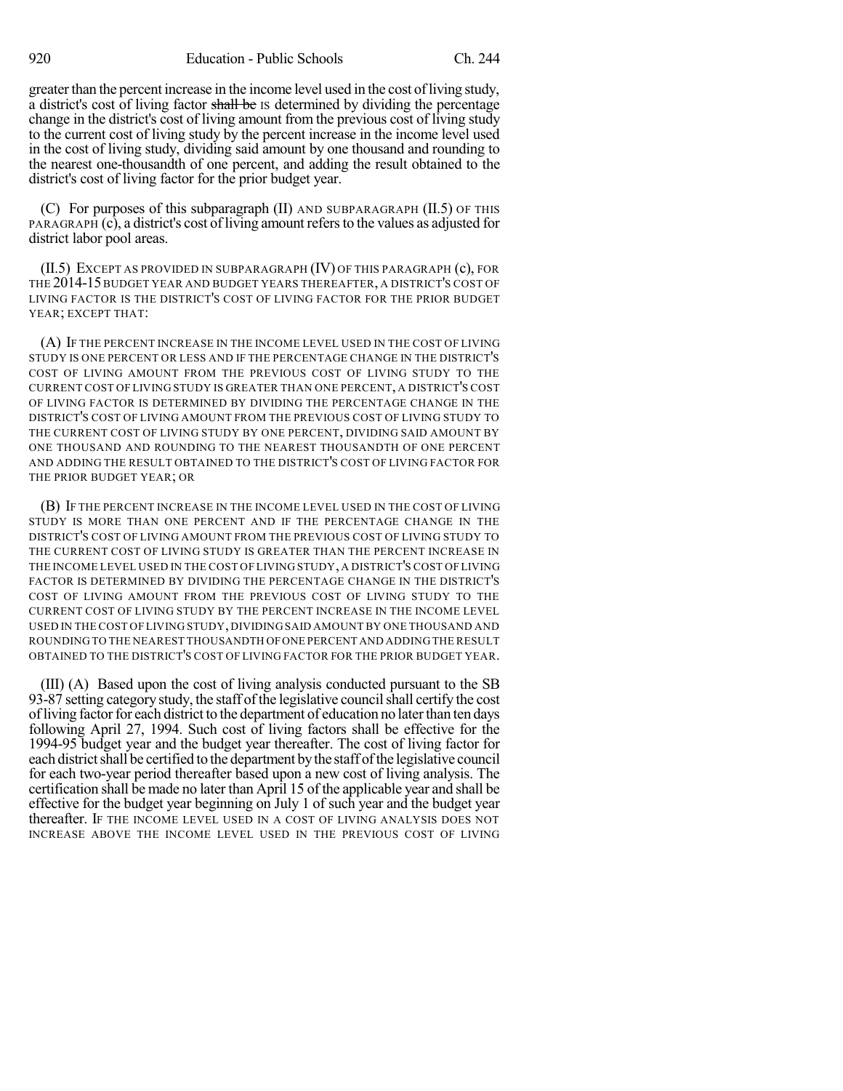greater than the percent increase in the income level used in the cost of living study, a district's cost of living factor shall be Is determined by dividing the percentage change in the district's cost of living amount from the previous cost of living study to the current cost of living study by the percent increase in the income level used in the cost of living study, dividing said amount by one thousand and rounding to the nearest one-thousandth of one percent, and adding the result obtained to the district's cost of living factor for the prior budget year.

(C) For purposes of this subparagraph (II) AND SUBPARAGRAPH (II.5) OF THIS PARAGRAPH (c), a district's cost of living amount refers to the values as adjusted for district labor pool areas.

(II.5) EXCEPT AS PROVIDED IN SUBPARAGRAPH (IV) OF THIS PARAGRAPH (c), FOR THE 2014-15 BUDGET YEAR AND BUDGET YEARS THEREAFTER, A DISTRICT'S COST OF LIVING FACTOR IS THE DISTRICT'S COST OF LIVING FACTOR FOR THE PRIOR BUDGET YEAR; EXCEPT THAT:

(A) IF THE PERCENT INCREASE IN THE INCOME LEVEL USED IN THE COST OF LIVING STUDY IS ONE PERCENT OR LESS AND IF THE PERCENTAGE CHANGE IN THE DISTRICT'S COST OF LIVING AMOUNT FROM THE PREVIOUS COST OF LIVING STUDY TO THE CURRENT COST OF LIVING STUDY IS GREATER THAN ONE PERCENT, A DISTRICT'S COST OF LIVING FACTOR IS DETERMINED BY DIVIDING THE PERCENTAGE CHANGE IN THE DISTRICT'S COST OF LIVING AMOUNT FROM THE PREVIOUS COST OF LIVING STUDY TO THE CURRENT COST OF LIVING STUDY BY ONE PERCENT, DIVIDING SAID AMOUNT BY ONE THOUSAND AND ROUNDING TO THE NEAREST THOUSANDTH OF ONE PERCENT AND ADDING THE RESULT OBTAINED TO THE DISTRICT'S COST OF LIVING FACTOR FOR THE PRIOR BUDGET YEAR; OR

(B) IF THE PERCENT INCREASE IN THE INCOME LEVEL USED IN THE COST OF LIVING STUDY IS MORE THAN ONE PERCENT AND IF THE PERCENTAGE CHANGE IN THE DISTRICT'S COST OF LIVING AMOUNT FROM THE PREVIOUS COST OF LIVING STUDY TO THE CURRENT COST OF LIVING STUDY IS GREATER THAN THE PERCENT INCREASE IN THE INCOME LEVEL USED IN THE COST OF LIVING STUDY, A DISTRICT'S COST OF LIVING FACTOR IS DETERMINED BY DIVIDING THE PERCENTAGE CHANGE IN THE DISTRICT'S COST OF LIVING AMOUNT FROM THE PREVIOUS COST OF LIVING STUDY TO THE CURRENT COST OF LIVING STUDY BY THE PERCENT INCREASE IN THE INCOME LEVEL USED IN THE COST OF LIVING STUDY, DIVIDING SAID AMOUNT BY ONE THOUSAND AND ROUNDING TO THE NEAREST THOUSANDTH OFONE PERCENT AND ADDING THE RESULT OBTAINED TO THE DISTRICT'S COST OF LIVING FACTOR FOR THE PRIOR BUDGET YEAR.

(III) (A) Based upon the cost of living analysis conducted pursuant to the SB 93-87 setting category study, the staff of the legislative council shall certify the cost of living factor for each district to the department of education no later than ten days following April 27, 1994. Such cost of living factors shall be effective for the 1994-95 budget year and the budget year thereafter. The cost of living factor for each district shall be certified to the department by the staff of the legislative council for each two-year period thereafter based upon a new cost of living analysis. The certification shall be made no later than April 15 of the applicable year and shall be effective for the budget year beginning on July 1 of such year and the budget year thereafter. IF THE INCOME LEVEL USED IN A COST OF LIVING ANALYSIS DOES NOT INCREASE ABOVE THE INCOME LEVEL USED IN THE PREVIOUS COST OF LIVING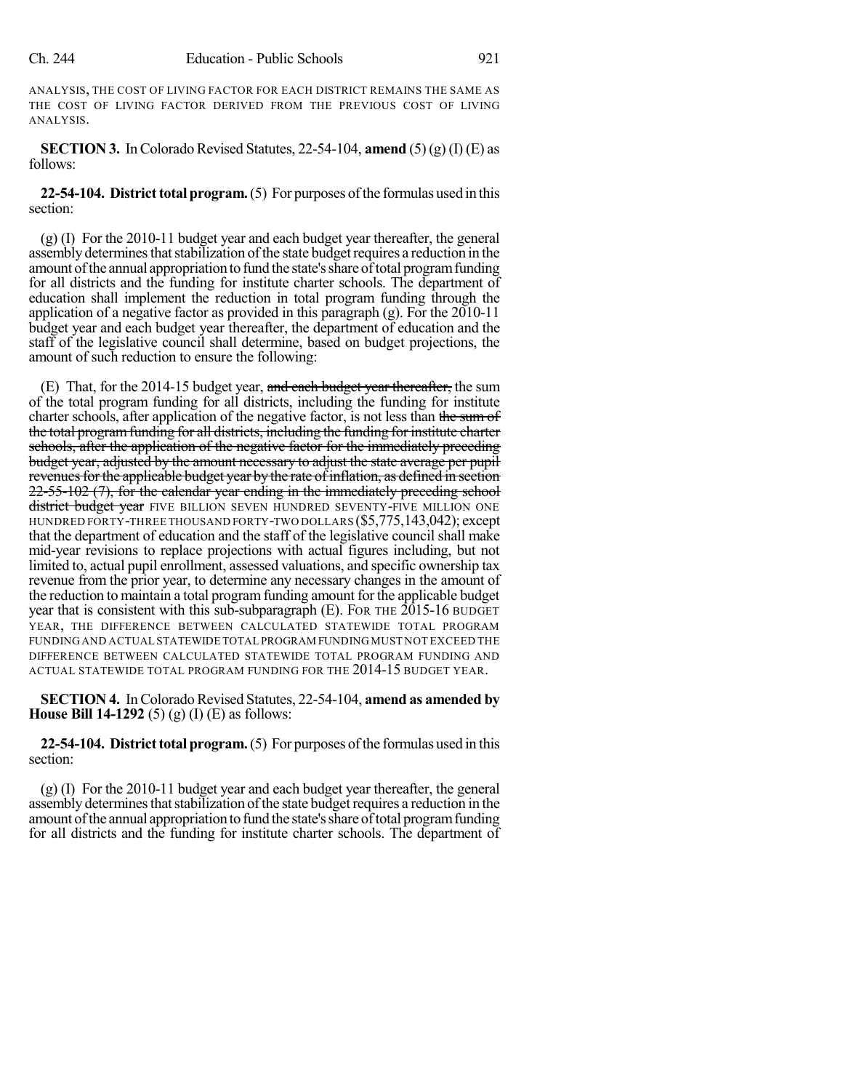ANALYSIS, THE COST OF LIVING FACTOR FOR EACH DISTRICT REMAINS THE SAME AS THE COST OF LIVING FACTOR DERIVED FROM THE PREVIOUS COST OF LIVING ANALYSIS.

**SECTION 3.** In Colorado Revised Statutes, 22-54-104, **amend** (5) (g) (I) (E) as follows:

**22-54-104. District total program.** (5) For purposes of the formulas used in this section:

(g) (I) For the 2010-11 budget year and each budget year thereafter, the general assembly determines that stabilization of the state budget requires a reduction in the amount ofthe annual appropriation to fund the state'sshare oftotal programfunding for all districts and the funding for institute charter schools. The department of education shall implement the reduction in total program funding through the application of a negative factor as provided in this paragraph (g). For the 2010-11 budget year and each budget year thereafter, the department of education and the staff of the legislative council shall determine, based on budget projections, the amount of such reduction to ensure the following:

(E) That, for the 2014-15 budget year, and each budget year thereafter, the sum of the total program funding for all districts, including the funding for institute charter schools, after application of the negative factor, is not less than the sum of the total program funding for all districts, including the funding for institute charter schools, after the application of the negative factor for the immediately preceding budget year, adjusted by the amount necessary to adjust the state average per pupil revenues for the applicable budget year by the rate of inflation, as defined in section 22-55-102 (7), for the calendar year ending in the immediately preceding school district budget year FIVE BILLION SEVEN HUNDRED SEVENTY-FIVE MILLION ONE HUNDRED FORTY-THREE THOUSAND FORTY-TWO DOLLARS (\$5,775,143,042); except that the department of education and the staff of the legislative council shall make mid-year revisions to replace projections with actual figures including, but not limited to, actual pupil enrollment, assessed valuations, and specific ownership tax revenue from the prior year, to determine any necessary changes in the amount of the reduction to maintain a total programfunding amount for the applicable budget year that is consistent with this sub-subparagraph (E). FOR THE 2015-16 BUDGET YEAR, THE DIFFERENCE BETWEEN CALCULATED STATEWIDE TOTAL PROGRAM FUNDING AND ACTUAL STATEWIDE TOTAL PROGRAM FUNDING MUST NOT EXCEED THE DIFFERENCE BETWEEN CALCULATED STATEWIDE TOTAL PROGRAM FUNDING AND ACTUAL STATEWIDE TOTAL PROGRAM FUNDING FOR THE 2014-15 BUDGET YEAR.

**SECTION 4.** In Colorado Revised Statutes, 22-54-104, **amend as amended by House Bill 14-1292** (5) (g) (I) (E) as follows:

**22-54-104. District total program.** (5) For purposes of the formulas used in this section:

(g) (I) For the 2010-11 budget year and each budget year thereafter, the general assembly determines that stabilization of the state budget requires a reduction in the amount of the annual appropriation to fund the state's share of total program funding for all districts and the funding for institute charter schools. The department of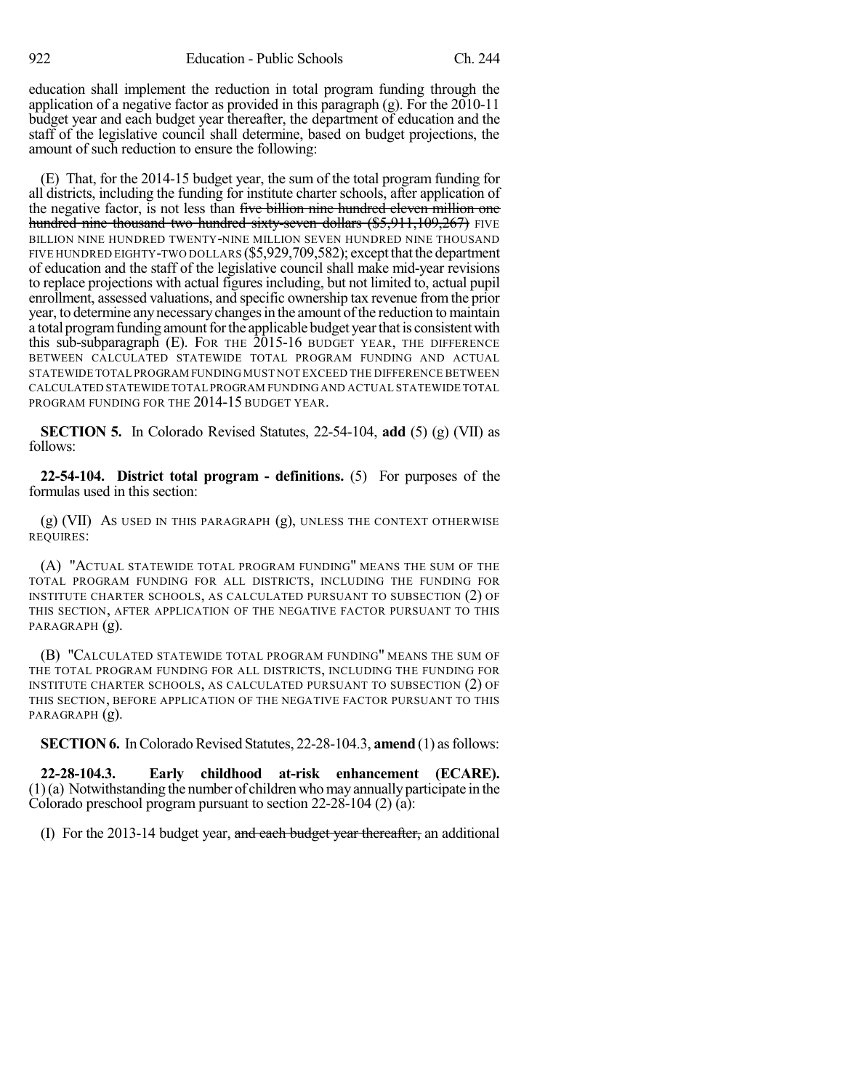education shall implement the reduction in total program funding through the application of a negative factor as provided in this paragraph (g). For the 2010-11 budget year and each budget year thereafter, the department of education and the staff of the legislative council shall determine, based on budget projections, the amount of such reduction to ensure the following:

(E) That, for the 2014-15 budget year, the sum of the total program funding for all districts, including the funding for institute charter schools, after application of the negative factor, is not less than five billion nine hundred eleven million one hundred nine thousand two hundred sixty-seven dollars (\$5,911,109,267) FIVE BILLION NINE HUNDRED TWENTY-NINE MILLION SEVEN HUNDRED NINE THOUSAND FIVE HUNDRED EIGHTY-TWO DOLLARS (\$5,929,709,582); except that the department of education and the staff of the legislative council shall make mid-year revisions to replace projections with actual figures including, but not limited to, actual pupil enrollment, assessed valuations, and specific ownership tax revenue fromthe prior year, to determine any necessary changes in the amount of the reduction to maintain a total program funding amount for the applicable budget year that is consistent with this sub-subparagraph (E). FOR THE  $2015$ -16 BUDGET YEAR, THE DIFFERENCE BETWEEN CALCULATED STATEWIDE TOTAL PROGRAM FUNDING AND ACTUAL STATEWIDE TOTAL PROGRAM FUNDING MUST NOT EXCEED THE DIFFERENCE BETWEEN CALCULATED STATEWIDE TOTAL PROGRAM FUNDING AND ACTUAL STATEWIDE TOTAL PROGRAM FUNDING FOR THE 2014-15 BUDGET YEAR.

**SECTION 5.** In Colorado Revised Statutes, 22-54-104, **add** (5) (g) (VII) as follows:

**22-54-104. District total program - definitions.** (5) For purposes of the formulas used in this section:

(g) (VII) AS USED IN THIS PARAGRAPH (g), UNLESS THE CONTEXT OTHERWISE REQUIRES:

(A) "ACTUAL STATEWIDE TOTAL PROGRAM FUNDING" MEANS THE SUM OF THE TOTAL PROGRAM FUNDING FOR ALL DISTRICTS, INCLUDING THE FUNDING FOR INSTITUTE CHARTER SCHOOLS, AS CALCULATED PURSUANT TO SUBSECTION (2) OF THIS SECTION, AFTER APPLICATION OF THE NEGATIVE FACTOR PURSUANT TO THIS PARAGRAPH (g).

(B) "CALCULATED STATEWIDE TOTAL PROGRAM FUNDING" MEANS THE SUM OF THE TOTAL PROGRAM FUNDING FOR ALL DISTRICTS, INCLUDING THE FUNDING FOR INSTITUTE CHARTER SCHOOLS, AS CALCULATED PURSUANT TO SUBSECTION (2) OF THIS SECTION, BEFORE APPLICATION OF THE NEGATIVE FACTOR PURSUANT TO THIS PARAGRAPH (g).

**SECTION 6.** In Colorado Revised Statutes, 22-28-104.3, **amend** (1) as follows:

**22-28-104.3. Early childhood at-risk enhancement (ECARE).**  $(1)(a)$  Notwithstanding the number of children who may annually participate in the Colorado preschool program pursuant to section 22-28-104 (2) (a):

(I) For the 2013-14 budget year, and each budget year thereafter, an additional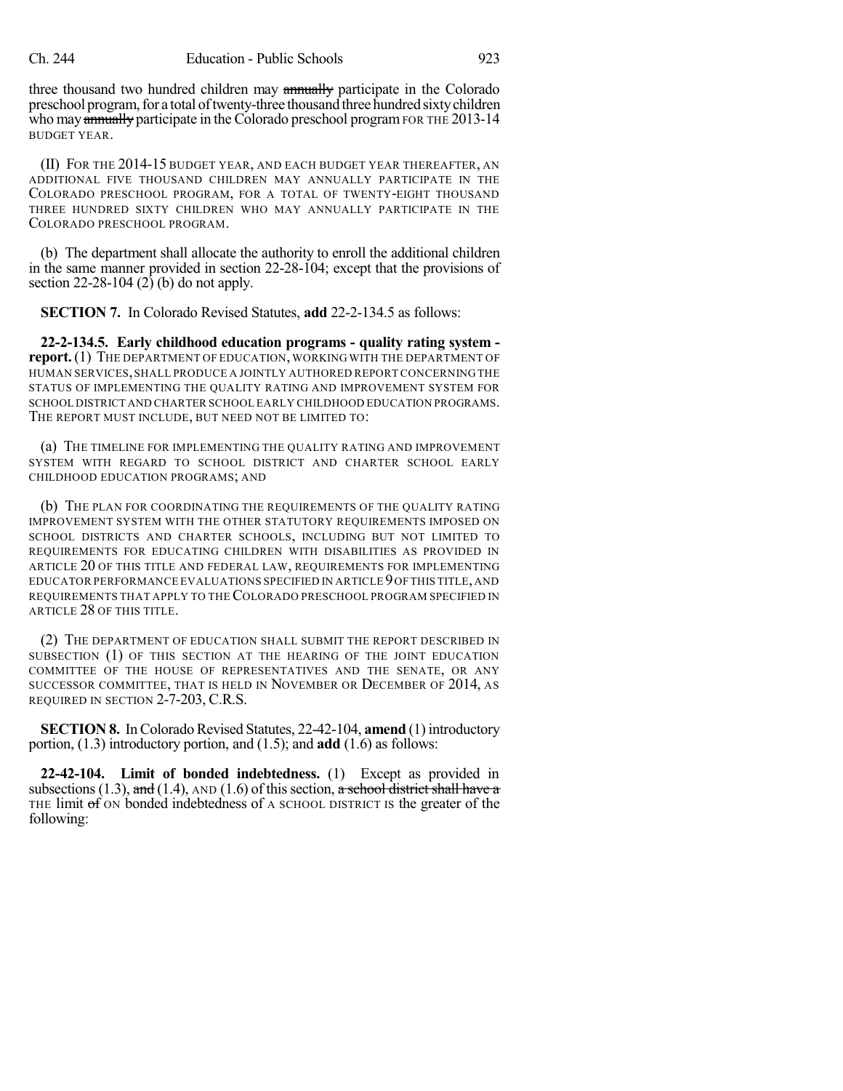three thousand two hundred children may annually participate in the Colorado preschool program, for a total of twenty-three thousand three hundred sixty children who may annually participate in the Colorado preschool program FOR THE 2013-14 BUDGET YEAR.

(II) FOR THE 2014-15 BUDGET YEAR, AND EACH BUDGET YEAR THEREAFTER, AN ADDITIONAL FIVE THOUSAND CHILDREN MAY ANNUALLY PARTICIPATE IN THE COLORADO PRESCHOOL PROGRAM, FOR A TOTAL OF TWENTY-EIGHT THOUSAND THREE HUNDRED SIXTY CHILDREN WHO MAY ANNUALLY PARTICIPATE IN THE COLORADO PRESCHOOL PROGRAM.

(b) The department shall allocate the authority to enroll the additional children in the same manner provided in section 22-28-104; except that the provisions of section 22-28-104 (2) (b) do not apply.

**SECTION 7.** In Colorado Revised Statutes, **add** 22-2-134.5 as follows:

**22-2-134.5. Early childhood education programs - quality rating system report.**(1) THE DEPARTMENT OF EDUCATION, WORKING WITH THE DEPARTMENT OF HUMAN SERVICES,SHALL PRODUCE A JOINTLY AUTHORED REPORTCONCERNING THE STATUS OF IMPLEMENTING THE QUALITY RATING AND IMPROVEMENT SYSTEM FOR SCHOOL DISTRICT AND CHARTER SCHOOL EARLY CHILDHOOD EDUCATION PROGRAMS. THE REPORT MUST INCLUDE, BUT NEED NOT BE LIMITED TO:

(a) THE TIMELINE FOR IMPLEMENTING THE QUALITY RATING AND IMPROVEMENT SYSTEM WITH REGARD TO SCHOOL DISTRICT AND CHARTER SCHOOL EARLY CHILDHOOD EDUCATION PROGRAMS; AND

(b) THE PLAN FOR COORDINATING THE REQUIREMENTS OF THE QUALITY RATING IMPROVEMENT SYSTEM WITH THE OTHER STATUTORY REQUIREMENTS IMPOSED ON SCHOOL DISTRICTS AND CHARTER SCHOOLS, INCLUDING BUT NOT LIMITED TO REQUIREMENTS FOR EDUCATING CHILDREN WITH DISABILITIES AS PROVIDED IN ARTICLE 20 OF THIS TITLE AND FEDERAL LAW, REQUIREMENTS FOR IMPLEMENTING EDUCATOR PERFORMANCE EVALUATIONS SPECIFIED IN ARTICLE 9OFTHIS TITLE,AND REQUIREMENTS THAT APPLY TO THECOLORADO PRESCHOOL PROGRAM SPECIFIED IN ARTICLE 28 OF THIS TITLE.

(2) THE DEPARTMENT OF EDUCATION SHALL SUBMIT THE REPORT DESCRIBED IN SUBSECTION (1) OF THIS SECTION AT THE HEARING OF THE JOINT EDUCATION COMMITTEE OF THE HOUSE OF REPRESENTATIVES AND THE SENATE, OR ANY SUCCESSOR COMMITTEE, THAT IS HELD IN NOVEMBER OR DECEMBER OF 2014, AS REQUIRED IN SECTION 2-7-203, C.R.S.

**SECTION 8.** In Colorado Revised Statutes, 22-42-104, **amend** (1) introductory portion, (1.3) introductory portion, and (1.5); and **add** (1.6) as follows:

**22-42-104. Limit of bonded indebtedness.** (1) Except as provided in subsections (1.3), and (1.4), AND (1.6) of this section, a school district shall have a THE limit of ON bonded indebtedness of A SCHOOL DISTRICT IS the greater of the following: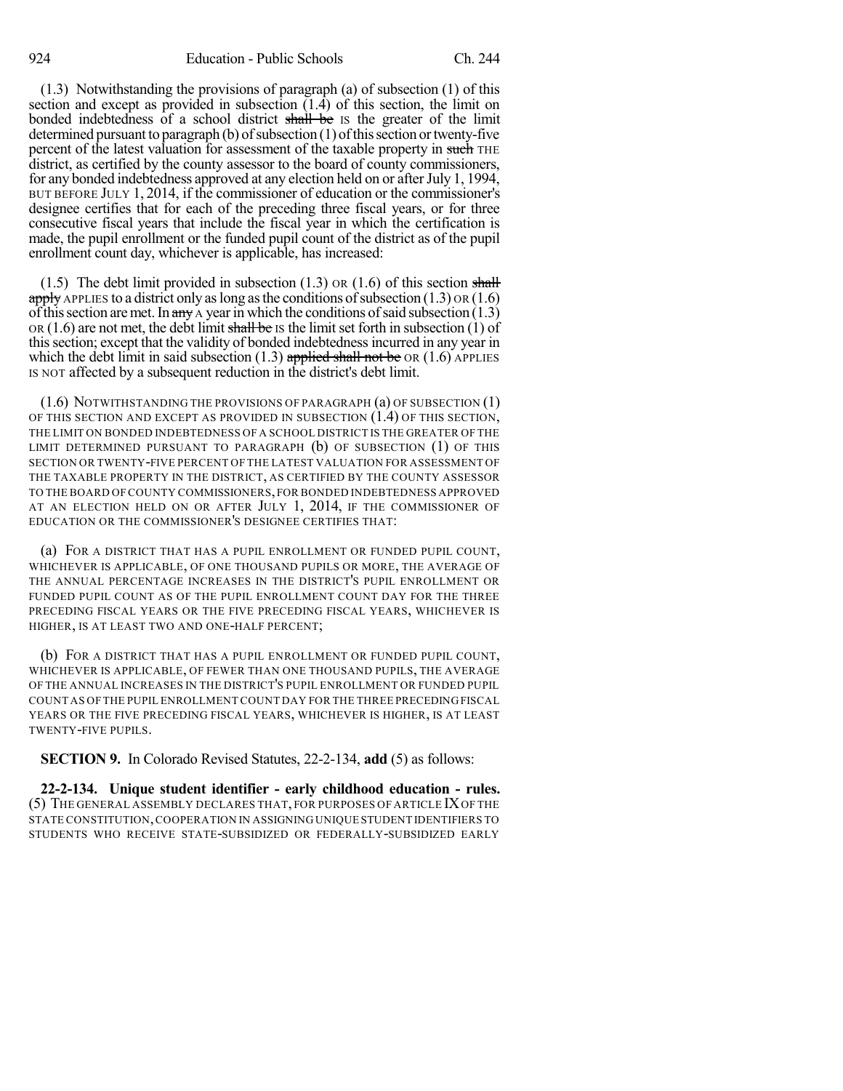(1.3) Notwithstanding the provisions of paragraph (a) of subsection (1) of this section and except as provided in subsection  $(1.\overline{4})$  of this section, the limit on bonded indebtedness of a school district shall be IS the greater of the limit determined pursuant to paragraph  $(b)$  of subsection  $(1)$  of this section or twenty-five percent of the latest valuation for assessment of the taxable property in such THE district, as certified by the county assessor to the board of county commissioners, for any bonded indebtedness approved at any election held on or after July 1, 1994, BUT BEFORE JULY 1, 2014, if the commissioner of education or the commissioner's designee certifies that for each of the preceding three fiscal years, or for three consecutive fiscal years that include the fiscal year in which the certification is made, the pupil enrollment or the funded pupil count of the district as of the pupil enrollment count day, whichever is applicable, has increased:

 $(1.5)$  The debt limit provided in subsection  $(1.3)$  OR  $(1.6)$  of this section shall apply APPLIES to a district only as long as the conditions of subsection  $(1.3)$  OR  $(1.6)$ of this section are met. In  $\frac{dm}{dt}$  A year in which the conditions of said subsection (1.3) OR (1.6) are not met, the debt limit shall be IS the limit set forth in subsection (1) of thissection; except that the validity of bonded indebtednessincurred in any year in which the debt limit in said subsection  $(1.3)$  applied shall not be OR  $(1.6)$  APPLIES IS NOT affected by a subsequent reduction in the district's debt limit.

(1.6) NOTWITHSTANDING THE PROVISIONS OF PARAGRAPH (a) OF SUBSECTION (1) OF THIS SECTION AND EXCEPT AS PROVIDED IN SUBSECTION  $(1.4)$  OF THIS SECTION, THE LIMIT ON BONDED INDEBTEDNESS OF A SCHOOL DISTRICT IS THE GREATER OF THE LIMIT DETERMINED PURSUANT TO PARAGRAPH (b) OF SUBSECTION (1) OF THIS SECTION OR TWENTY-FIVE PERCENT OF THE LATEST VALUATION FOR ASSESSMENT OF THE TAXABLE PROPERTY IN THE DISTRICT, AS CERTIFIED BY THE COUNTY ASSESSOR TO THE BOARD OF COUNTY COMMISSIONERS,FOR BONDED INDEBTEDNESS APPROVED AT AN ELECTION HELD ON OR AFTER JULY 1, 2014, IF THE COMMISSIONER OF EDUCATION OR THE COMMISSIONER'S DESIGNEE CERTIFIES THAT:

(a) FOR A DISTRICT THAT HAS A PUPIL ENROLLMENT OR FUNDED PUPIL COUNT, WHICHEVER IS APPLICABLE, OF ONE THOUSAND PUPILS OR MORE, THE AVERAGE OF THE ANNUAL PERCENTAGE INCREASES IN THE DISTRICT'S PUPIL ENROLLMENT OR FUNDED PUPIL COUNT AS OF THE PUPIL ENROLLMENT COUNT DAY FOR THE THREE PRECEDING FISCAL YEARS OR THE FIVE PRECEDING FISCAL YEARS, WHICHEVER IS HIGHER, IS AT LEAST TWO AND ONE-HALF PERCENT;

(b) FOR A DISTRICT THAT HAS A PUPIL ENROLLMENT OR FUNDED PUPIL COUNT, WHICHEVER IS APPLICABLE, OF FEWER THAN ONE THOUSAND PUPILS, THE AVERAGE OF THE ANNUAL INCREASES IN THE DISTRICT'S PUPIL ENROLLMENT OR FUNDED PUPIL COUNT AS OF THE PUPIL ENROLLMENT COUNT DAY FOR THE THREE PRECEDING FISCAL YEARS OR THE FIVE PRECEDING FISCAL YEARS, WHICHEVER IS HIGHER, IS AT LEAST TWENTY-FIVE PUPILS.

**SECTION 9.** In Colorado Revised Statutes, 22-2-134, **add** (5) as follows:

**22-2-134. Unique student identifier - early childhood education - rules.** (5) THE GENERAL ASSEMBLY DECLARES THAT, FOR PURPOSES OF ARTICLE IXOF THE STATE CONSTITUTION,COOPERATION IN ASSIGNING UNIQUE STUDENT IDENTIFIERS TO STUDENTS WHO RECEIVE STATE-SUBSIDIZED OR FEDERALLY-SUBSIDIZED EARLY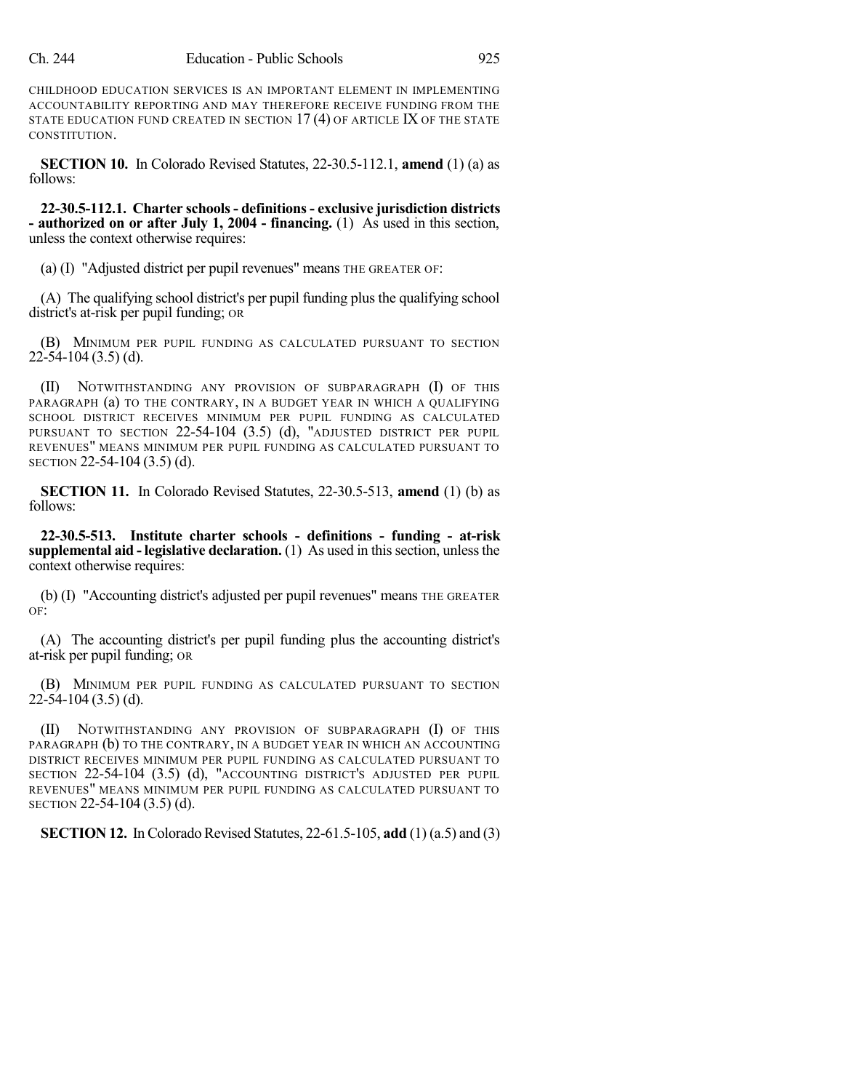CHILDHOOD EDUCATION SERVICES IS AN IMPORTANT ELEMENT IN IMPLEMENTING ACCOUNTABILITY REPORTING AND MAY THEREFORE RECEIVE FUNDING FROM THE STATE EDUCATION FUND CREATED IN SECTION  $17(4)$  OF ARTICLE IX OF THE STATE CONSTITUTION.

**SECTION 10.** In Colorado Revised Statutes, 22-30.5-112.1, **amend** (1) (a) as follows:

**22-30.5-112.1. Charter schools- definitions- exclusive jurisdiction districts - authorized on or after July 1, 2004 - financing.** (1) As used in this section, unless the context otherwise requires:

(a) (I) "Adjusted district per pupil revenues" means THE GREATER OF:

(A) The qualifying school district's per pupil funding plus the qualifying school district's at-risk per pupil funding; OR

(B) MINIMUM PER PUPIL FUNDING AS CALCULATED PURSUANT TO SECTION 22-54-104 (3.5) (d).

(II) NOTWITHSTANDING ANY PROVISION OF SUBPARAGRAPH (I) OF THIS PARAGRAPH (a) TO THE CONTRARY, IN A BUDGET YEAR IN WHICH A QUALIFYING SCHOOL DISTRICT RECEIVES MINIMUM PER PUPIL FUNDING AS CALCULATED PURSUANT TO SECTION 22-54-104 (3.5) (d), "ADJUSTED DISTRICT PER PUPIL REVENUES" MEANS MINIMUM PER PUPIL FUNDING AS CALCULATED PURSUANT TO SECTION 22-54-104 (3.5) (d).

**SECTION 11.** In Colorado Revised Statutes, 22-30.5-513, **amend** (1) (b) as follows:

**22-30.5-513. Institute charter schools - definitions - funding - at-risk supplemental aid - legislative declaration.** (1) As used in this section, unless the context otherwise requires:

(b) (I) "Accounting district's adjusted per pupil revenues" means THE GREATER OF:

(A) The accounting district's per pupil funding plus the accounting district's at-risk per pupil funding; OR

(B) MINIMUM PER PUPIL FUNDING AS CALCULATED PURSUANT TO SECTION  $22-54-104(3.5)$  (d).

(II) NOTWITHSTANDING ANY PROVISION OF SUBPARAGRAPH (I) OF THIS PARAGRAPH (b) TO THE CONTRARY, IN A BUDGET YEAR IN WHICH AN ACCOUNTING DISTRICT RECEIVES MINIMUM PER PUPIL FUNDING AS CALCULATED PURSUANT TO SECTION 22-54-104 (3.5) (d), "ACCOUNTING DISTRICT'S ADJUSTED PER PUPIL REVENUES" MEANS MINIMUM PER PUPIL FUNDING AS CALCULATED PURSUANT TO SECTION 22-54-104 (3.5) (d).

**SECTION 12.** In Colorado Revised Statutes, 22-61.5-105, **add** (1) (a.5) and (3)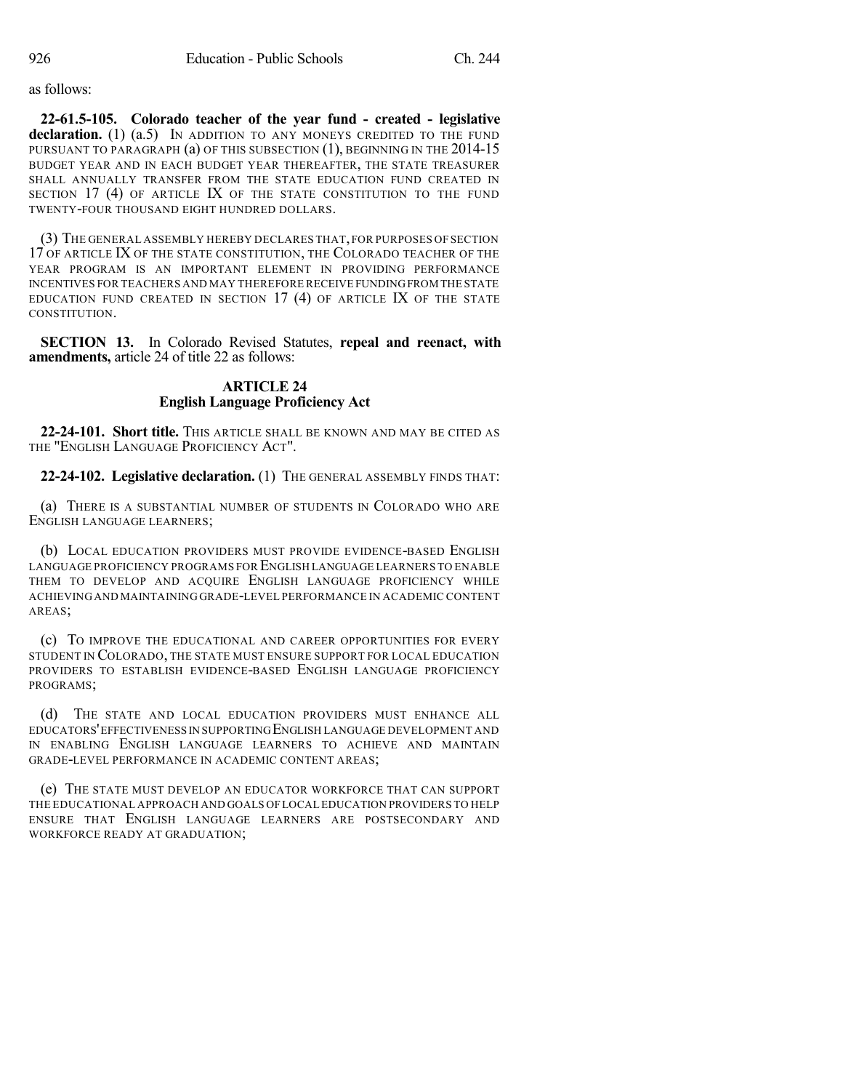as follows:

**22-61.5-105. Colorado teacher of the year fund - created - legislative declaration.** (1) (a.5) IN ADDITION TO ANY MONEYS CREDITED TO THE FUND PURSUANT TO PARAGRAPH (a) OF THIS SUBSECTION (1), BEGINNING IN THE 2014-15 BUDGET YEAR AND IN EACH BUDGET YEAR THEREAFTER, THE STATE TREASURER SHALL ANNUALLY TRANSFER FROM THE STATE EDUCATION FUND CREATED IN SECTION 17 (4) OF ARTICLE IX OF THE STATE CONSTITUTION TO THE FUND TWENTY-FOUR THOUSAND EIGHT HUNDRED DOLLARS.

(3) THE GENERAL ASSEMBLY HEREBY DECLARES THAT,FOR PURPOSES OF SECTION 17 OF ARTICLE IX OF THE STATE CONSTITUTION, THE COLORADO TEACHER OF THE YEAR PROGRAM IS AN IMPORTANT ELEMENT IN PROVIDING PERFORMANCE INCENTIVES FOR TEACHERS AND MAY THEREFORE RECEIVE FUNDINGFROM THE STATE EDUCATION FUND CREATED IN SECTION  $17$  (4) OF ARTICLE IX OF THE STATE CONSTITUTION.

**SECTION 13.** In Colorado Revised Statutes, **repeal and reenact, with amendments,** article 24 of title 22 as follows:

## **ARTICLE 24 English Language Proficiency Act**

**22-24-101. Short title.** THIS ARTICLE SHALL BE KNOWN AND MAY BE CITED AS THE "ENGLISH LANGUAGE PROFICIENCY ACT".

**22-24-102. Legislative declaration.** (1) THE GENERAL ASSEMBLY FINDS THAT:

(a) THERE IS A SUBSTANTIAL NUMBER OF STUDENTS IN COLORADO WHO ARE ENGLISH LANGUAGE LEARNERS;

(b) LOCAL EDUCATION PROVIDERS MUST PROVIDE EVIDENCE-BASED ENGLISH LANGUAGE PROFICIENCY PROGRAMS FOR ENGLISH LANGUAGE LEARNERS TO ENABLE THEM TO DEVELOP AND ACQUIRE ENGLISH LANGUAGE PROFICIENCY WHILE ACHIEVING AND MAINTAINING GRADE-LEVEL PERFORMANCE IN ACADEMIC CONTENT AREAS;

(c) TO IMPROVE THE EDUCATIONAL AND CAREER OPPORTUNITIES FOR EVERY STUDENT IN COLORADO, THE STATE MUST ENSURE SUPPORT FOR LOCAL EDUCATION PROVIDERS TO ESTABLISH EVIDENCE-BASED ENGLISH LANGUAGE PROFICIENCY PROGRAMS;

(d) THE STATE AND LOCAL EDUCATION PROVIDERS MUST ENHANCE ALL EDUCATORS'EFFECTIVENESS IN SUPPORTINGENGLISH LANGUAGE DEVELOPMENT AND IN ENABLING ENGLISH LANGUAGE LEARNERS TO ACHIEVE AND MAINTAIN GRADE-LEVEL PERFORMANCE IN ACADEMIC CONTENT AREAS;

(e) THE STATE MUST DEVELOP AN EDUCATOR WORKFORCE THAT CAN SUPPORT THE EDUCATIONAL APPROACH AND GOALS OFLOCAL EDUCATION PROVIDERS TO HELP ENSURE THAT ENGLISH LANGUAGE LEARNERS ARE POSTSECONDARY AND WORKFORCE READY AT GRADUATION;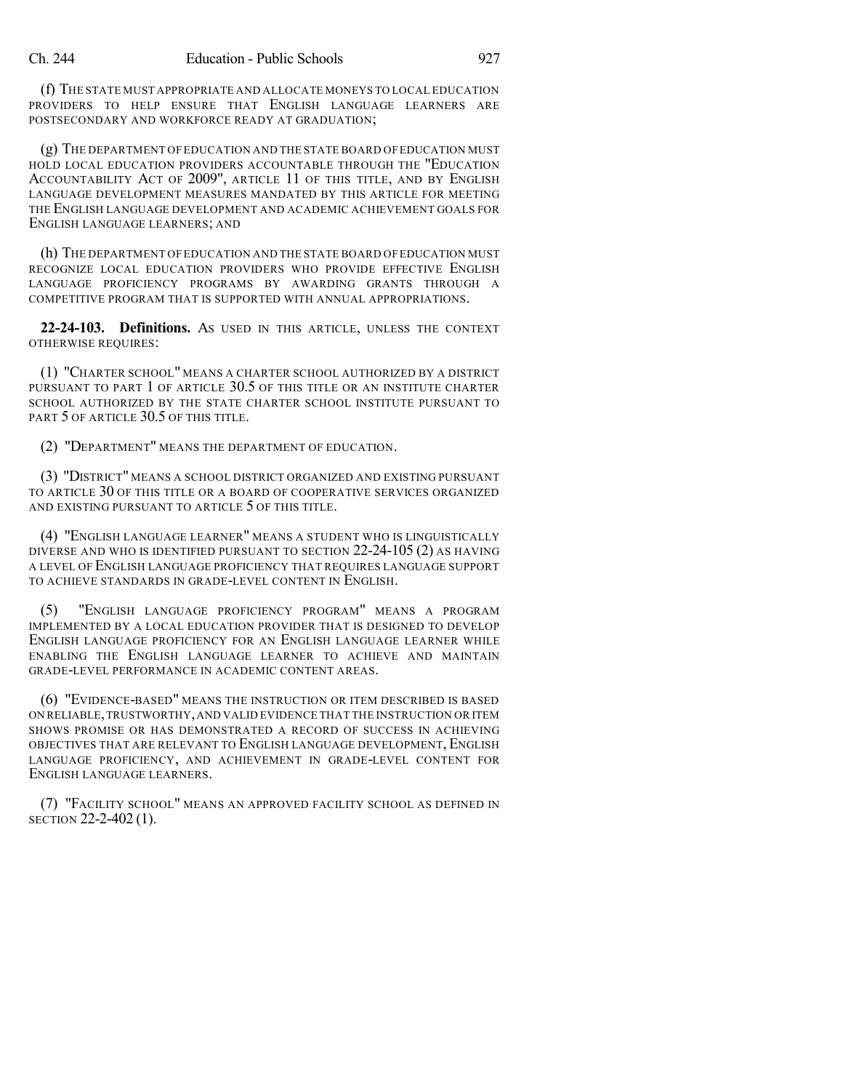(f) THE STATE MUST APPROPRIATE AND ALLOCATE MONEYS TO LOCAL EDUCATION PROVIDERS TO HELP ENSURE THAT ENGLISH LANGUAGE LEARNERS ARE POSTSECONDARY AND WORKFORCE READY AT GRADUATION;

(g) THE DEPARTMENT OF EDUCATION AND THE STATE BOARD OF EDUCATION MUST HOLD LOCAL EDUCATION PROVIDERS ACCOUNTABLE THROUGH THE "EDUCATION ACCOUNTABILITY ACT OF 2009", ARTICLE 11 OF THIS TITLE, AND BY ENGLISH LANGUAGE DEVELOPMENT MEASURES MANDATED BY THIS ARTICLE FOR MEETING THE ENGLISH LANGUAGE DEVELOPMENT AND ACADEMIC ACHIEVEMENT GOALS FOR ENGLISH LANGUAGE LEARNERS; AND

(h) THE DEPARTMENT OF EDUCATION AND THE STATE BOARD OF EDUCATION MUST RECOGNIZE LOCAL EDUCATION PROVIDERS WHO PROVIDE EFFECTIVE ENGLISH LANGUAGE PROFICIENCY PROGRAMS BY AWARDING GRANTS THROUGH A COMPETITIVE PROGRAM THAT IS SUPPORTED WITH ANNUAL APPROPRIATIONS.

**22-24-103. Definitions.** AS USED IN THIS ARTICLE, UNLESS THE CONTEXT OTHERWISE REQUIRES:

(1) "CHARTER SCHOOL" MEANS A CHARTER SCHOOL AUTHORIZED BY A DISTRICT PURSUANT TO PART 1 OF ARTICLE 30.5 OF THIS TITLE OR AN INSTITUTE CHARTER SCHOOL AUTHORIZED BY THE STATE CHARTER SCHOOL INSTITUTE PURSUANT TO PART 5 OF ARTICLE 30.5 OF THIS TITLE.

(2) "DEPARTMENT" MEANS THE DEPARTMENT OF EDUCATION.

(3) "DISTRICT" MEANS A SCHOOL DISTRICT ORGANIZED AND EXISTING PURSUANT TO ARTICLE 30 OF THIS TITLE OR A BOARD OF COOPERATIVE SERVICES ORGANIZED AND EXISTING PURSUANT TO ARTICLE 5 OF THIS TITLE.

(4) "ENGLISH LANGUAGE LEARNER" MEANS A STUDENT WHO IS LINGUISTICALLY DIVERSE AND WHO IS IDENTIFIED PURSUANT TO SECTION 22-24-105 (2) AS HAVING A LEVEL OF ENGLISH LANGUAGE PROFICIENCY THAT REQUIRES LANGUAGE SUPPORT TO ACHIEVE STANDARDS IN GRADE-LEVEL CONTENT IN ENGLISH.

(5) "ENGLISH LANGUAGE PROFICIENCY PROGRAM" MEANS A PROGRAM IMPLEMENTED BY A LOCAL EDUCATION PROVIDER THAT IS DESIGNED TO DEVELOP ENGLISH LANGUAGE PROFICIENCY FOR AN ENGLISH LANGUAGE LEARNER WHILE ENABLING THE ENGLISH LANGUAGE LEARNER TO ACHIEVE AND MAINTAIN GRADE-LEVEL PERFORMANCE IN ACADEMIC CONTENT AREAS.

(6) "EVIDENCE-BASED" MEANS THE INSTRUCTION OR ITEM DESCRIBED IS BASED ON RELIABLE,TRUSTWORTHY,AND VALID EVIDENCE THAT THE INSTRUCTION OR ITEM SHOWS PROMISE OR HAS DEMONSTRATED A RECORD OF SUCCESS IN ACHIEVING OBJECTIVES THAT ARE RELEVANT TO ENGLISH LANGUAGE DEVELOPMENT, ENGLISH LANGUAGE PROFICIENCY, AND ACHIEVEMENT IN GRADE-LEVEL CONTENT FOR ENGLISH LANGUAGE LEARNERS.

(7) "FACILITY SCHOOL" MEANS AN APPROVED FACILITY SCHOOL AS DEFINED IN SECTION 22-2-402 (1).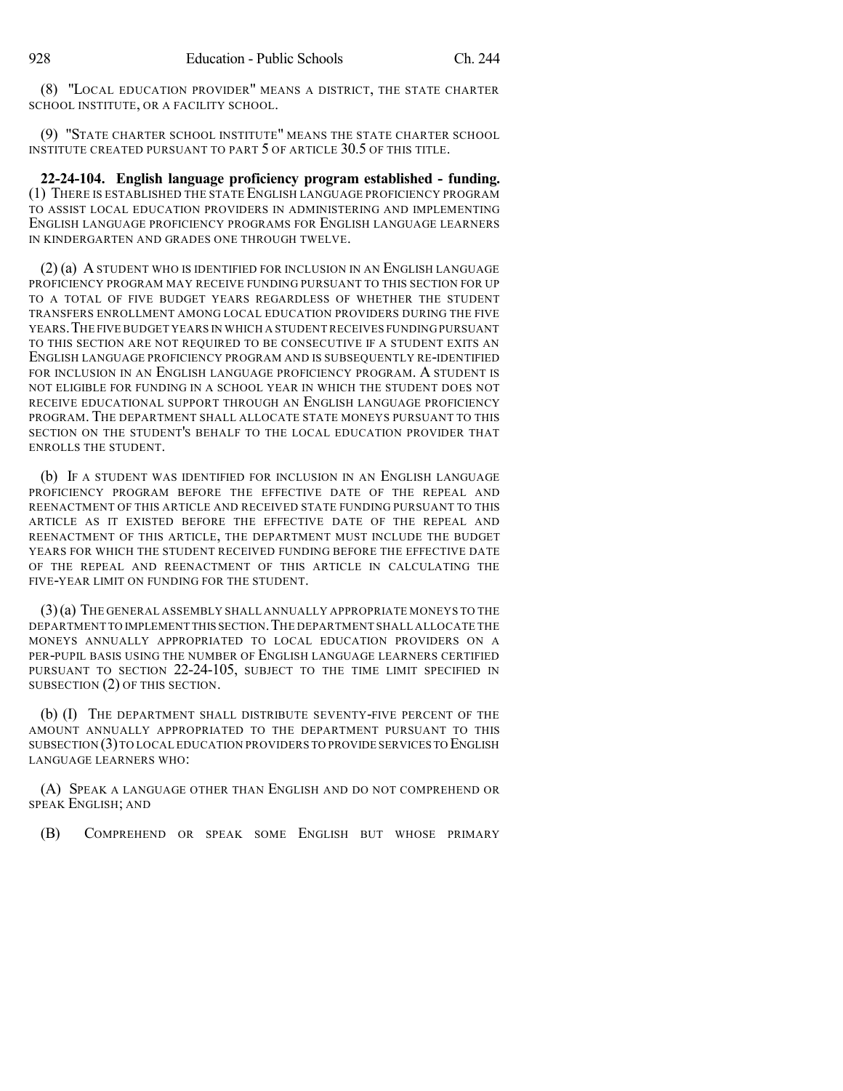(8) "LOCAL EDUCATION PROVIDER" MEANS A DISTRICT, THE STATE CHARTER SCHOOL INSTITUTE, OR A FACILITY SCHOOL.

(9) "STATE CHARTER SCHOOL INSTITUTE" MEANS THE STATE CHARTER SCHOOL INSTITUTE CREATED PURSUANT TO PART 5 OF ARTICLE 30.5 OF THIS TITLE.

**22-24-104. English language proficiency program established - funding.** (1) THERE IS ESTABLISHED THE STATE ENGLISH LANGUAGE PROFICIENCY PROGRAM TO ASSIST LOCAL EDUCATION PROVIDERS IN ADMINISTERING AND IMPLEMENTING ENGLISH LANGUAGE PROFICIENCY PROGRAMS FOR ENGLISH LANGUAGE LEARNERS IN KINDERGARTEN AND GRADES ONE THROUGH TWELVE.

(2) (a) A STUDENT WHO IS IDENTIFIED FOR INCLUSION IN AN ENGLISH LANGUAGE PROFICIENCY PROGRAM MAY RECEIVE FUNDING PURSUANT TO THIS SECTION FOR UP TO A TOTAL OF FIVE BUDGET YEARS REGARDLESS OF WHETHER THE STUDENT TRANSFERS ENROLLMENT AMONG LOCAL EDUCATION PROVIDERS DURING THE FIVE YEARS.THE FIVE BUDGET YEARS IN WHICH A STUDENT RECEIVES FUNDING PURSUANT TO THIS SECTION ARE NOT REQUIRED TO BE CONSECUTIVE IF A STUDENT EXITS AN ENGLISH LANGUAGE PROFICIENCY PROGRAM AND IS SUBSEQUENTLY RE-IDENTIFIED FOR INCLUSION IN AN ENGLISH LANGUAGE PROFICIENCY PROGRAM. A STUDENT IS NOT ELIGIBLE FOR FUNDING IN A SCHOOL YEAR IN WHICH THE STUDENT DOES NOT RECEIVE EDUCATIONAL SUPPORT THROUGH AN ENGLISH LANGUAGE PROFICIENCY PROGRAM. THE DEPARTMENT SHALL ALLOCATE STATE MONEYS PURSUANT TO THIS SECTION ON THE STUDENT'S BEHALF TO THE LOCAL EDUCATION PROVIDER THAT ENROLLS THE STUDENT.

(b) IF A STUDENT WAS IDENTIFIED FOR INCLUSION IN AN ENGLISH LANGUAGE PROFICIENCY PROGRAM BEFORE THE EFFECTIVE DATE OF THE REPEAL AND REENACTMENT OF THIS ARTICLE AND RECEIVED STATE FUNDING PURSUANT TO THIS ARTICLE AS IT EXISTED BEFORE THE EFFECTIVE DATE OF THE REPEAL AND REENACTMENT OF THIS ARTICLE, THE DEPARTMENT MUST INCLUDE THE BUDGET YEARS FOR WHICH THE STUDENT RECEIVED FUNDING BEFORE THE EFFECTIVE DATE OF THE REPEAL AND REENACTMENT OF THIS ARTICLE IN CALCULATING THE FIVE-YEAR LIMIT ON FUNDING FOR THE STUDENT.

(3)(a) THE GENERAL ASSEMBLY SHALL ANNUALLY APPROPRIATE MONEYS TO THE DEPARTMENT TO IMPLEMENT THIS SECTION.THE DEPARTMENT SHALL ALLOCATE THE MONEYS ANNUALLY APPROPRIATED TO LOCAL EDUCATION PROVIDERS ON A PER-PUPIL BASIS USING THE NUMBER OF ENGLISH LANGUAGE LEARNERS CERTIFIED PURSUANT TO SECTION 22-24-105, SUBJECT TO THE TIME LIMIT SPECIFIED IN SUBSECTION (2) OF THIS SECTION.

(b) (I) THE DEPARTMENT SHALL DISTRIBUTE SEVENTY-FIVE PERCENT OF THE AMOUNT ANNUALLY APPROPRIATED TO THE DEPARTMENT PURSUANT TO THIS SUBSECTION (3)TO LOCAL EDUCATION PROVIDERS TO PROVIDE SERVICES TO ENGLISH LANGUAGE LEARNERS WHO:

(A) SPEAK A LANGUAGE OTHER THAN ENGLISH AND DO NOT COMPREHEND OR SPEAK ENGLISH; AND

(B) COMPREHEND OR SPEAK SOME ENGLISH BUT WHOSE PRIMARY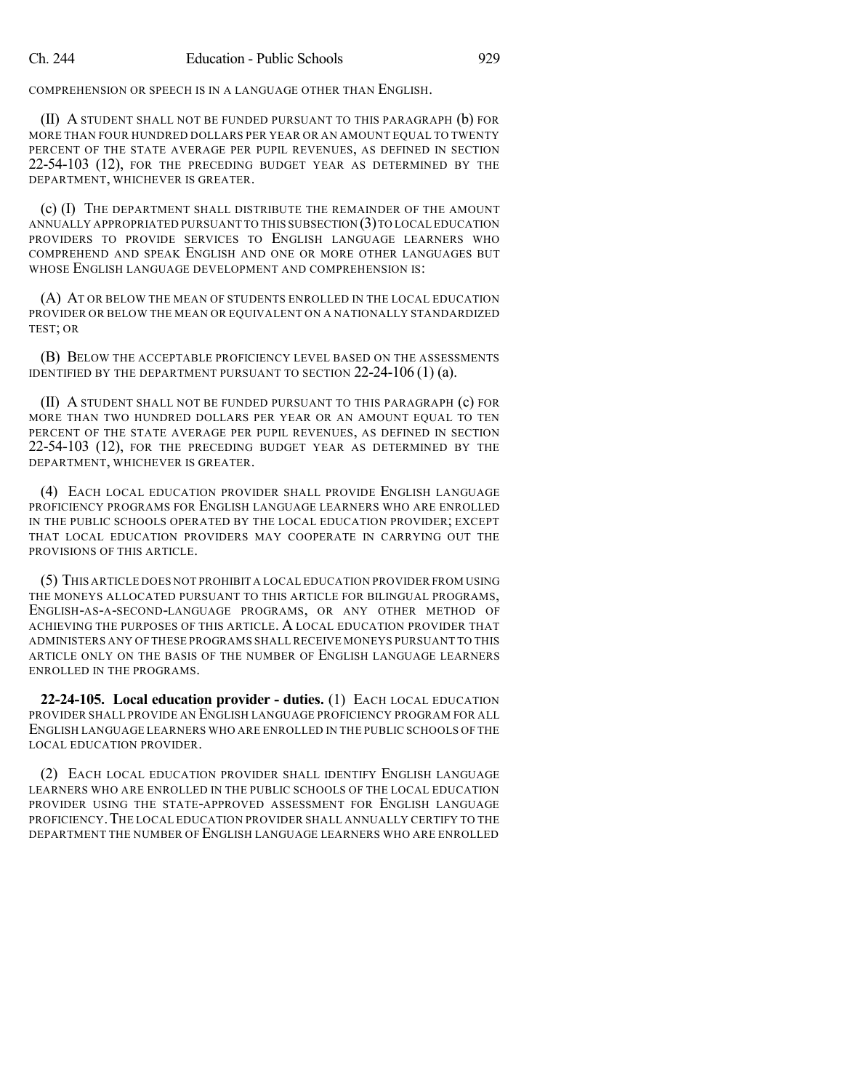COMPREHENSION OR SPEECH IS IN A LANGUAGE OTHER THAN ENGLISH.

(II) A STUDENT SHALL NOT BE FUNDED PURSUANT TO THIS PARAGRAPH (b) FOR MORE THAN FOUR HUNDRED DOLLARS PER YEAR OR AN AMOUNT EQUAL TO TWENTY PERCENT OF THE STATE AVERAGE PER PUPIL REVENUES, AS DEFINED IN SECTION 22-54-103 (12), FOR THE PRECEDING BUDGET YEAR AS DETERMINED BY THE DEPARTMENT, WHICHEVER IS GREATER.

(c) (I) THE DEPARTMENT SHALL DISTRIBUTE THE REMAINDER OF THE AMOUNT ANNUALLY APPROPRIATED PURSUANT TO THIS SUBSECTION (3) TO LOCAL EDUCATION PROVIDERS TO PROVIDE SERVICES TO ENGLISH LANGUAGE LEARNERS WHO COMPREHEND AND SPEAK ENGLISH AND ONE OR MORE OTHER LANGUAGES BUT WHOSE ENGLISH LANGUAGE DEVELOPMENT AND COMPREHENSION IS:

(A) AT OR BELOW THE MEAN OF STUDENTS ENROLLED IN THE LOCAL EDUCATION PROVIDER OR BELOW THE MEAN OR EQUIVALENT ON A NATIONALLY STANDARDIZED TEST; OR

(B) BELOW THE ACCEPTABLE PROFICIENCY LEVEL BASED ON THE ASSESSMENTS IDENTIFIED BY THE DEPARTMENT PURSUANT TO SECTION 22-24-106 (1) (a).

(II) A STUDENT SHALL NOT BE FUNDED PURSUANT TO THIS PARAGRAPH (c) FOR MORE THAN TWO HUNDRED DOLLARS PER YEAR OR AN AMOUNT EQUAL TO TEN PERCENT OF THE STATE AVERAGE PER PUPIL REVENUES, AS DEFINED IN SECTION 22-54-103 (12), FOR THE PRECEDING BUDGET YEAR AS DETERMINED BY THE DEPARTMENT, WHICHEVER IS GREATER.

(4) EACH LOCAL EDUCATION PROVIDER SHALL PROVIDE ENGLISH LANGUAGE PROFICIENCY PROGRAMS FOR ENGLISH LANGUAGE LEARNERS WHO ARE ENROLLED IN THE PUBLIC SCHOOLS OPERATED BY THE LOCAL EDUCATION PROVIDER; EXCEPT THAT LOCAL EDUCATION PROVIDERS MAY COOPERATE IN CARRYING OUT THE PROVISIONS OF THIS ARTICLE.

(5) THIS ARTICLE DOES NOT PROHIBIT A LOCAL EDUCATION PROVIDER FROM USING THE MONEYS ALLOCATED PURSUANT TO THIS ARTICLE FOR BILINGUAL PROGRAMS, ENGLISH-AS-A-SECOND-LANGUAGE PROGRAMS, OR ANY OTHER METHOD OF ACHIEVING THE PURPOSES OF THIS ARTICLE. A LOCAL EDUCATION PROVIDER THAT ADMINISTERS ANY OF THESE PROGRAMS SHALL RECEIVE MONEYS PURSUANT TO THIS ARTICLE ONLY ON THE BASIS OF THE NUMBER OF ENGLISH LANGUAGE LEARNERS ENROLLED IN THE PROGRAMS.

**22-24-105. Local education provider - duties.** (1) EACH LOCAL EDUCATION PROVIDER SHALL PROVIDE AN ENGLISH LANGUAGE PROFICIENCY PROGRAM FOR ALL ENGLISH LANGUAGE LEARNERS WHO ARE ENROLLED IN THE PUBLIC SCHOOLS OF THE LOCAL EDUCATION PROVIDER.

(2) EACH LOCAL EDUCATION PROVIDER SHALL IDENTIFY ENGLISH LANGUAGE LEARNERS WHO ARE ENROLLED IN THE PUBLIC SCHOOLS OF THE LOCAL EDUCATION PROVIDER USING THE STATE-APPROVED ASSESSMENT FOR ENGLISH LANGUAGE PROFICIENCY.THE LOCAL EDUCATION PROVIDER SHALL ANNUALLY CERTIFY TO THE DEPARTMENT THE NUMBER OF ENGLISH LANGUAGE LEARNERS WHO ARE ENROLLED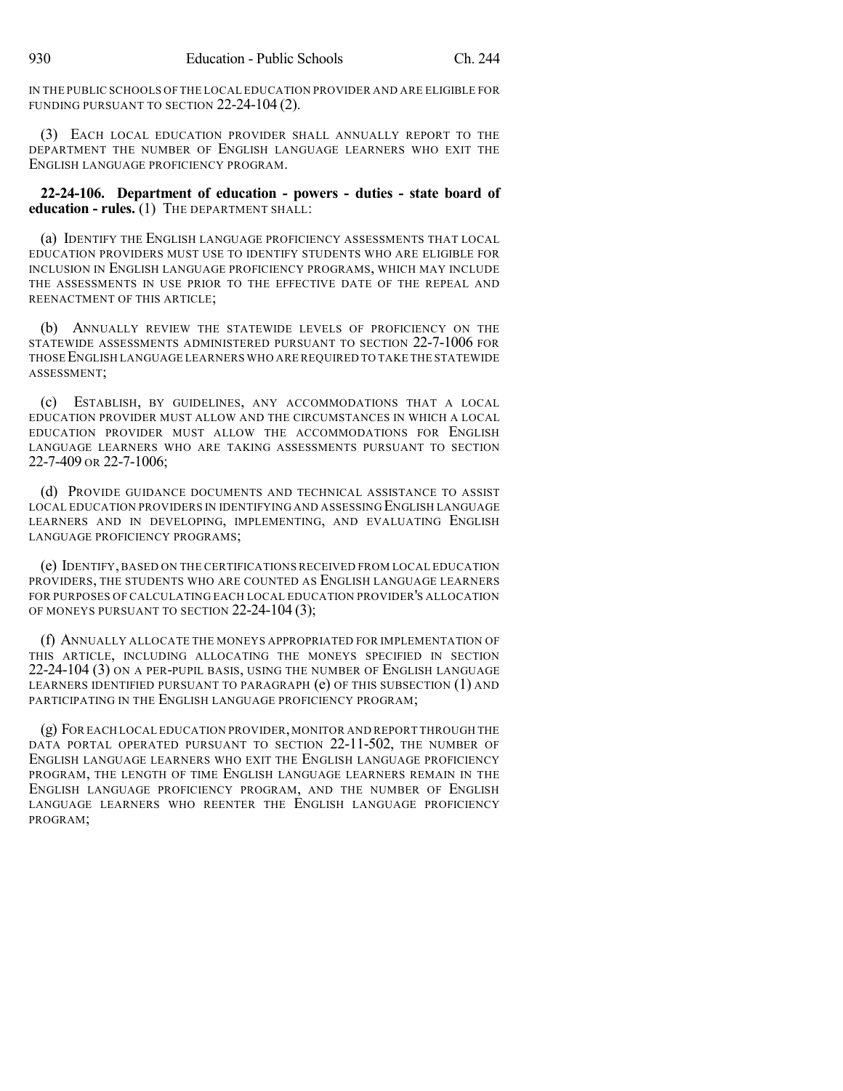IN THE PUBLIC SCHOOLS OF THE LOCAL EDUCATION PROVIDER AND ARE ELIGIBLE FOR FUNDING PURSUANT TO SECTION 22-24-104 (2).

(3) EACH LOCAL EDUCATION PROVIDER SHALL ANNUALLY REPORT TO THE DEPARTMENT THE NUMBER OF ENGLISH LANGUAGE LEARNERS WHO EXIT THE ENGLISH LANGUAGE PROFICIENCY PROGRAM.

**22-24-106. Department of education - powers - duties - state board of education - rules.** (1) THE DEPARTMENT SHALL:

(a) IDENTIFY THE ENGLISH LANGUAGE PROFICIENCY ASSESSMENTS THAT LOCAL EDUCATION PROVIDERS MUST USE TO IDENTIFY STUDENTS WHO ARE ELIGIBLE FOR INCLUSION IN ENGLISH LANGUAGE PROFICIENCY PROGRAMS, WHICH MAY INCLUDE THE ASSESSMENTS IN USE PRIOR TO THE EFFECTIVE DATE OF THE REPEAL AND REENACTMENT OF THIS ARTICLE;

(b) ANNUALLY REVIEW THE STATEWIDE LEVELS OF PROFICIENCY ON THE STATEWIDE ASSESSMENTS ADMINISTERED PURSUANT TO SECTION 22-7-1006 FOR THOSE ENGLISH LANGUAGE LEARNERS WHO ARE REQUIRED TO TAKE THE STATEWIDE ASSESSMENT;

(c) ESTABLISH, BY GUIDELINES, ANY ACCOMMODATIONS THAT A LOCAL EDUCATION PROVIDER MUST ALLOW AND THE CIRCUMSTANCES IN WHICH A LOCAL EDUCATION PROVIDER MUST ALLOW THE ACCOMMODATIONS FOR ENGLISH LANGUAGE LEARNERS WHO ARE TAKING ASSESSMENTS PURSUANT TO SECTION 22-7-409 OR 22-7-1006;

(d) PROVIDE GUIDANCE DOCUMENTS AND TECHNICAL ASSISTANCE TO ASSIST LOCAL EDUCATION PROVIDERS IN IDENTIFYING AND ASSESSING ENGLISH LANGUAGE LEARNERS AND IN DEVELOPING, IMPLEMENTING, AND EVALUATING ENGLISH LANGUAGE PROFICIENCY PROGRAMS;

(e) IDENTIFY, BASED ON THE CERTIFICATIONS RECEIVED FROM LOCAL EDUCATION PROVIDERS, THE STUDENTS WHO ARE COUNTED AS ENGLISH LANGUAGE LEARNERS FOR PURPOSES OF CALCULATING EACH LOCAL EDUCATION PROVIDER'S ALLOCATION OF MONEYS PURSUANT TO SECTION 22-24-104 (3);

(f) ANNUALLY ALLOCATE THE MONEYS APPROPRIATED FOR IMPLEMENTATION OF THIS ARTICLE, INCLUDING ALLOCATING THE MONEYS SPECIFIED IN SECTION 22-24-104 (3) ON A PER-PUPIL BASIS, USING THE NUMBER OF ENGLISH LANGUAGE LEARNERS IDENTIFIED PURSUANT TO PARAGRAPH (e) OF THIS SUBSECTION (1) AND PARTICIPATING IN THE ENGLISH LANGUAGE PROFICIENCY PROGRAM;

(g) FOR EACH LOCAL EDUCATION PROVIDER,MONITOR AND REPORT THROUGH THE DATA PORTAL OPERATED PURSUANT TO SECTION 22-11-502, THE NUMBER OF ENGLISH LANGUAGE LEARNERS WHO EXIT THE ENGLISH LANGUAGE PROFICIENCY PROGRAM, THE LENGTH OF TIME ENGLISH LANGUAGE LEARNERS REMAIN IN THE ENGLISH LANGUAGE PROFICIENCY PROGRAM, AND THE NUMBER OF ENGLISH LANGUAGE LEARNERS WHO REENTER THE ENGLISH LANGUAGE PROFICIENCY PROGRAM;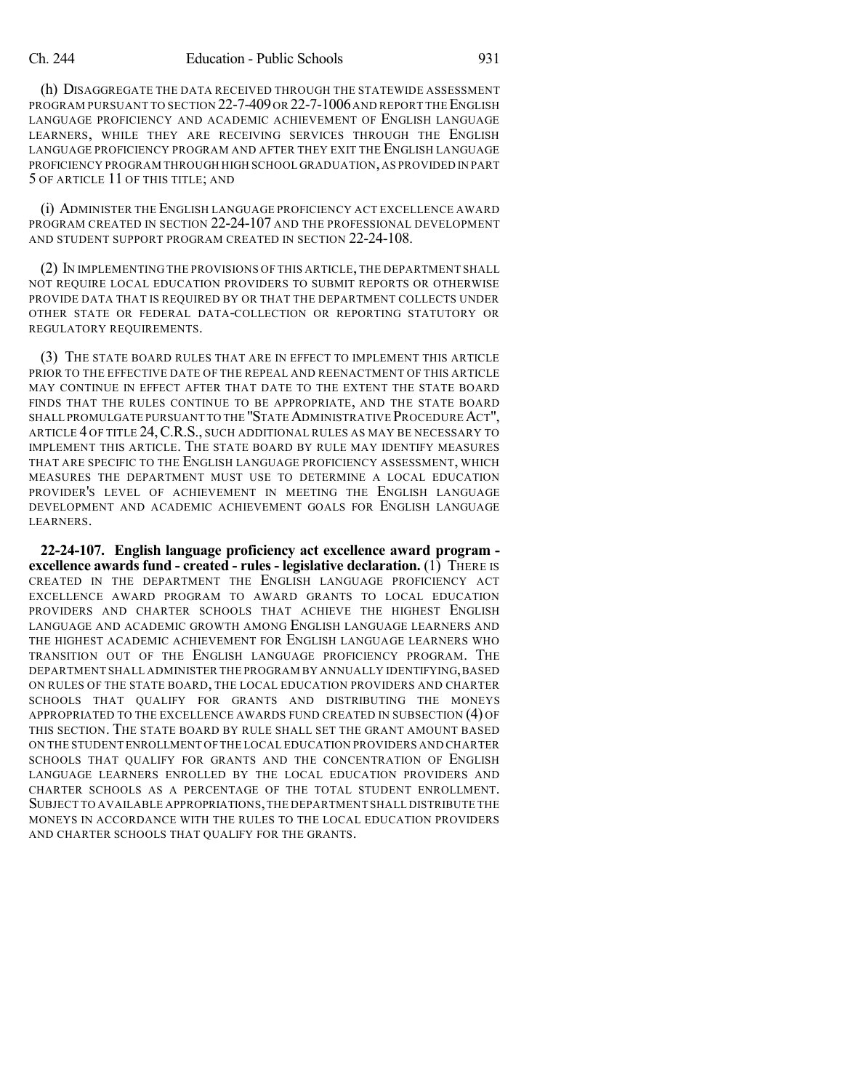(h) DISAGGREGATE THE DATA RECEIVED THROUGH THE STATEWIDE ASSESSMENT PROGRAM PURSUANT TO SECTION 22-7-409 OR 22-7-1006 AND REPORT THE ENGLISH LANGUAGE PROFICIENCY AND ACADEMIC ACHIEVEMENT OF ENGLISH LANGUAGE LEARNERS, WHILE THEY ARE RECEIVING SERVICES THROUGH THE ENGLISH LANGUAGE PROFICIENCY PROGRAM AND AFTER THEY EXIT THE ENGLISH LANGUAGE PROFICIENCY PROGRAM THROUGH HIGH SCHOOL GRADUATION,AS PROVIDED IN PART 5 OF ARTICLE 11 OF THIS TITLE; AND

(i) ADMINISTER THE ENGLISH LANGUAGE PROFICIENCY ACT EXCELLENCE AWARD PROGRAM CREATED IN SECTION 22-24-107 AND THE PROFESSIONAL DEVELOPMENT AND STUDENT SUPPORT PROGRAM CREATED IN SECTION 22-24-108.

(2) IN IMPLEMENTING THE PROVISIONS OF THIS ARTICLE, THE DEPARTMENT SHALL NOT REQUIRE LOCAL EDUCATION PROVIDERS TO SUBMIT REPORTS OR OTHERWISE PROVIDE DATA THAT IS REQUIRED BY OR THAT THE DEPARTMENT COLLECTS UNDER OTHER STATE OR FEDERAL DATA-COLLECTION OR REPORTING STATUTORY OR REGULATORY REQUIREMENTS.

(3) THE STATE BOARD RULES THAT ARE IN EFFECT TO IMPLEMENT THIS ARTICLE PRIOR TO THE EFFECTIVE DATE OF THE REPEAL AND REENACTMENT OF THIS ARTICLE MAY CONTINUE IN EFFECT AFTER THAT DATE TO THE EXTENT THE STATE BOARD FINDS THAT THE RULES CONTINUE TO BE APPROPRIATE, AND THE STATE BOARD SHALL PROMULGATE PURSUANT TO THE "STATE ADMINISTRATIVE PROCEDURE ACT", ARTICLE 4 OF TITLE 24, C.R.S., SUCH ADDITIONAL RULES AS MAY BE NECESSARY TO IMPLEMENT THIS ARTICLE. THE STATE BOARD BY RULE MAY IDENTIFY MEASURES THAT ARE SPECIFIC TO THE ENGLISH LANGUAGE PROFICIENCY ASSESSMENT, WHICH MEASURES THE DEPARTMENT MUST USE TO DETERMINE A LOCAL EDUCATION PROVIDER'S LEVEL OF ACHIEVEMENT IN MEETING THE ENGLISH LANGUAGE DEVELOPMENT AND ACADEMIC ACHIEVEMENT GOALS FOR ENGLISH LANGUAGE LEARNERS.

**22-24-107. English language proficiency act excellence award program excellence awards fund - created - rules - legislative declaration.** (1) THERE IS CREATED IN THE DEPARTMENT THE ENGLISH LANGUAGE PROFICIENCY ACT EXCELLENCE AWARD PROGRAM TO AWARD GRANTS TO LOCAL EDUCATION PROVIDERS AND CHARTER SCHOOLS THAT ACHIEVE THE HIGHEST ENGLISH LANGUAGE AND ACADEMIC GROWTH AMONG ENGLISH LANGUAGE LEARNERS AND THE HIGHEST ACADEMIC ACHIEVEMENT FOR ENGLISH LANGUAGE LEARNERS WHO TRANSITION OUT OF THE ENGLISH LANGUAGE PROFICIENCY PROGRAM. THE DEPARTMENT SHALL ADMINISTER THE PROGRAM BY ANNUALLY IDENTIFYING,BASED ON RULES OF THE STATE BOARD, THE LOCAL EDUCATION PROVIDERS AND CHARTER SCHOOLS THAT QUALIFY FOR GRANTS AND DISTRIBUTING THE MONEYS APPROPRIATED TO THE EXCELLENCE AWARDS FUND CREATED IN SUBSECTION (4) OF THIS SECTION. THE STATE BOARD BY RULE SHALL SET THE GRANT AMOUNT BASED ON THE STUDENT ENROLLMENT OFTHE LOCAL EDUCATION PROVIDERS AND CHARTER SCHOOLS THAT QUALIFY FOR GRANTS AND THE CONCENTRATION OF ENGLISH LANGUAGE LEARNERS ENROLLED BY THE LOCAL EDUCATION PROVIDERS AND CHARTER SCHOOLS AS A PERCENTAGE OF THE TOTAL STUDENT ENROLLMENT. SUBJECT TO AVAILABLE APPROPRIATIONS,THE DEPARTMENT SHALL DISTRIBUTE THE MONEYS IN ACCORDANCE WITH THE RULES TO THE LOCAL EDUCATION PROVIDERS AND CHARTER SCHOOLS THAT QUALIFY FOR THE GRANTS.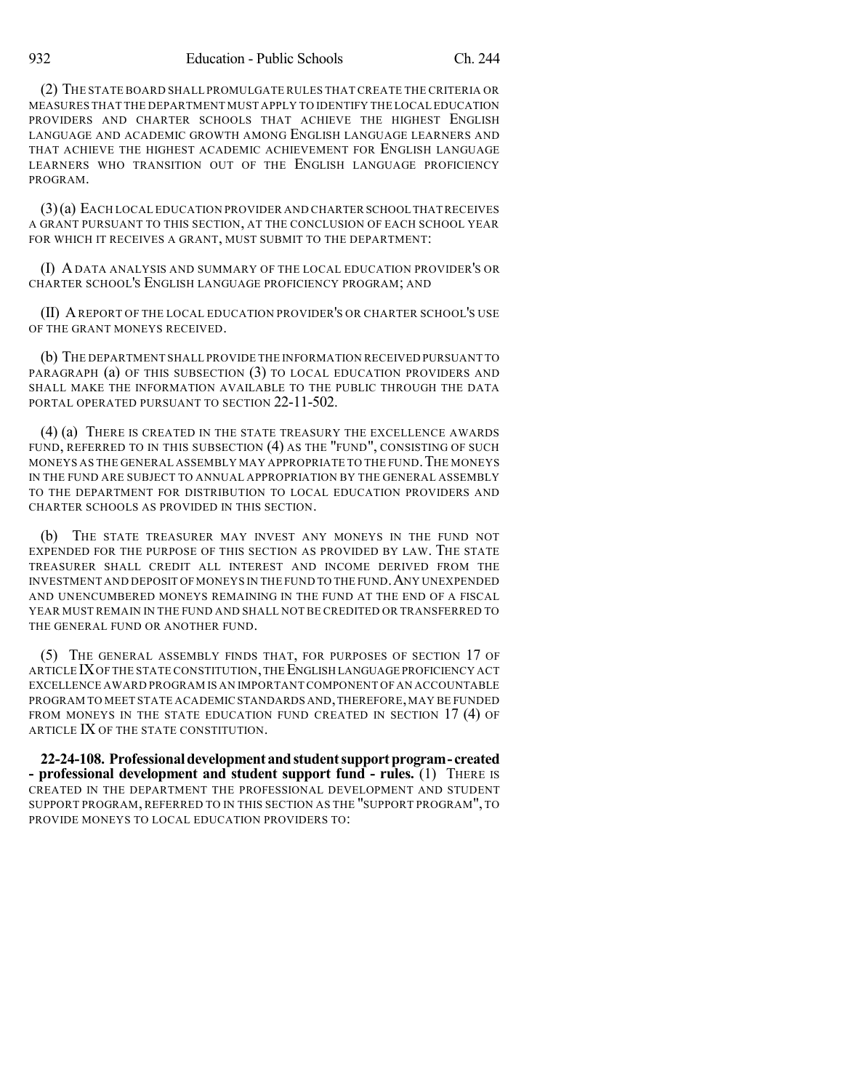(2) THE STATE BOARD SHALL PROMULGATE RULES THAT CREATE THE CRITERIA OR MEASURES THAT THE DEPARTMENT MUST APPLY TO IDENTIFY THE LOCAL EDUCATION PROVIDERS AND CHARTER SCHOOLS THAT ACHIEVE THE HIGHEST ENGLISH LANGUAGE AND ACADEMIC GROWTH AMONG ENGLISH LANGUAGE LEARNERS AND THAT ACHIEVE THE HIGHEST ACADEMIC ACHIEVEMENT FOR ENGLISH LANGUAGE LEARNERS WHO TRANSITION OUT OF THE ENGLISH LANGUAGE PROFICIENCY PROGRAM.

(3)(a) EACH LOCAL EDUCATION PROVIDER AND CHARTER SCHOOL THAT RECEIVES A GRANT PURSUANT TO THIS SECTION, AT THE CONCLUSION OF EACH SCHOOL YEAR FOR WHICH IT RECEIVES A GRANT, MUST SUBMIT TO THE DEPARTMENT:

(I) A DATA ANALYSIS AND SUMMARY OF THE LOCAL EDUCATION PROVIDER'S OR CHARTER SCHOOL'S ENGLISH LANGUAGE PROFICIENCY PROGRAM; AND

(II) AREPORT OF THE LOCAL EDUCATION PROVIDER'S OR CHARTER SCHOOL'S USE OF THE GRANT MONEYS RECEIVED.

(b) THE DEPARTMENT SHALL PROVIDE THE INFORMATION RECEIVED PURSUANT TO PARAGRAPH (a) OF THIS SUBSECTION (3) TO LOCAL EDUCATION PROVIDERS AND SHALL MAKE THE INFORMATION AVAILABLE TO THE PUBLIC THROUGH THE DATA PORTAL OPERATED PURSUANT TO SECTION 22-11-502.

(4) (a) THERE IS CREATED IN THE STATE TREASURY THE EXCELLENCE AWARDS FUND, REFERRED TO IN THIS SUBSECTION (4) AS THE "FUND", CONSISTING OF SUCH MONEYS AS THE GENERAL ASSEMBLY MAY APPROPRIATE TO THE FUND. THE MONEYS IN THE FUND ARE SUBJECT TO ANNUAL APPROPRIATION BY THE GENERAL ASSEMBLY TO THE DEPARTMENT FOR DISTRIBUTION TO LOCAL EDUCATION PROVIDERS AND CHARTER SCHOOLS AS PROVIDED IN THIS SECTION.

(b) THE STATE TREASURER MAY INVEST ANY MONEYS IN THE FUND NOT EXPENDED FOR THE PURPOSE OF THIS SECTION AS PROVIDED BY LAW. THE STATE TREASURER SHALL CREDIT ALL INTEREST AND INCOME DERIVED FROM THE INVESTMENT AND DEPOSIT OF MONEYS IN THE FUND TO THE FUND.ANY UNEXPENDED AND UNENCUMBERED MONEYS REMAINING IN THE FUND AT THE END OF A FISCAL YEAR MUST REMAIN IN THE FUND AND SHALL NOT BE CREDITED OR TRANSFERRED TO THE GENERAL FUND OR ANOTHER FUND.

(5) THE GENERAL ASSEMBLY FINDS THAT, FOR PURPOSES OF SECTION 17 OF ARTICLE IXOF THE STATE CONSTITUTION,THE ENGLISH LANGUAGE PROFICIENCY ACT EXCELLENCE AWARD PROGRAM IS AN IMPORTANT COMPONENT OF AN ACCOUNTABLE PROGRAM TO MEET STATE ACADEMIC STANDARDS AND,THEREFORE,MAY BE FUNDED FROM MONEYS IN THE STATE EDUCATION FUND CREATED IN SECTION 17 (4) OF ARTICLE IX OF THE STATE CONSTITUTION.

**22-24-108. Professionaldevelopment andstudentsupportprogram- created - professional development and student support fund - rules.** (1) THERE IS CREATED IN THE DEPARTMENT THE PROFESSIONAL DEVELOPMENT AND STUDENT SUPPORT PROGRAM, REFERRED TO IN THIS SECTION AS THE "SUPPORT PROGRAM", TO PROVIDE MONEYS TO LOCAL EDUCATION PROVIDERS TO: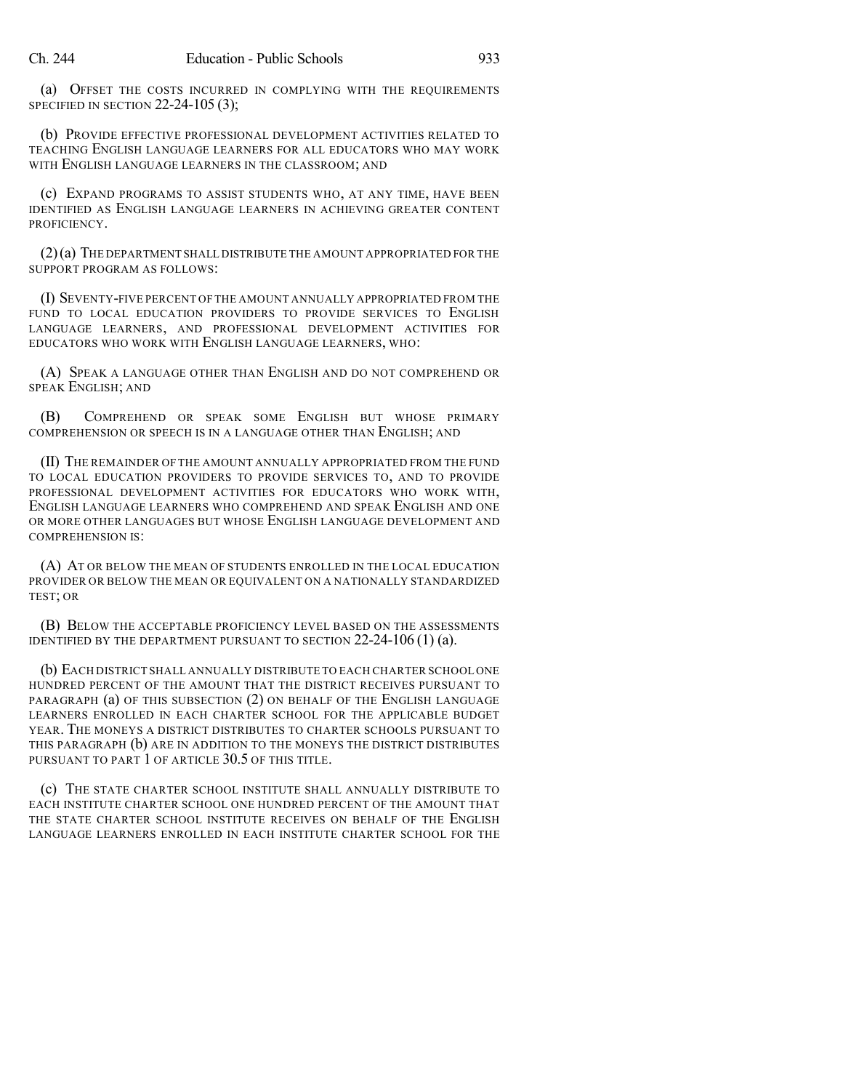(a) OFFSET THE COSTS INCURRED IN COMPLYING WITH THE REQUIREMENTS SPECIFIED IN SECTION 22-24-105 (3);

(b) PROVIDE EFFECTIVE PROFESSIONAL DEVELOPMENT ACTIVITIES RELATED TO TEACHING ENGLISH LANGUAGE LEARNERS FOR ALL EDUCATORS WHO MAY WORK WITH ENGLISH LANGUAGE LEARNERS IN THE CLASSROOM; AND

(c) EXPAND PROGRAMS TO ASSIST STUDENTS WHO, AT ANY TIME, HAVE BEEN IDENTIFIED AS ENGLISH LANGUAGE LEARNERS IN ACHIEVING GREATER CONTENT PROFICIENCY.

(2)(a) THE DEPARTMENT SHALL DISTRIBUTE THE AMOUNT APPROPRIATED FOR THE SUPPORT PROGRAM AS FOLLOWS:

(I) SEVENTY-FIVE PERCENT OF THE AMOUNT ANNUALLY APPROPRIATED FROM THE FUND TO LOCAL EDUCATION PROVIDERS TO PROVIDE SERVICES TO ENGLISH LANGUAGE LEARNERS, AND PROFESSIONAL DEVELOPMENT ACTIVITIES FOR EDUCATORS WHO WORK WITH ENGLISH LANGUAGE LEARNERS, WHO:

(A) SPEAK A LANGUAGE OTHER THAN ENGLISH AND DO NOT COMPREHEND OR SPEAK ENGLISH; AND

(B) COMPREHEND OR SPEAK SOME ENGLISH BUT WHOSE PRIMARY COMPREHENSION OR SPEECH IS IN A LANGUAGE OTHER THAN ENGLISH; AND

(II) THE REMAINDER OF THE AMOUNT ANNUALLY APPROPRIATED FROM THE FUND TO LOCAL EDUCATION PROVIDERS TO PROVIDE SERVICES TO, AND TO PROVIDE PROFESSIONAL DEVELOPMENT ACTIVITIES FOR EDUCATORS WHO WORK WITH, ENGLISH LANGUAGE LEARNERS WHO COMPREHEND AND SPEAK ENGLISH AND ONE OR MORE OTHER LANGUAGES BUT WHOSE ENGLISH LANGUAGE DEVELOPMENT AND COMPREHENSION IS:

(A) AT OR BELOW THE MEAN OF STUDENTS ENROLLED IN THE LOCAL EDUCATION PROVIDER OR BELOW THE MEAN OR EQUIVALENT ON A NATIONALLY STANDARDIZED TEST; OR

(B) BELOW THE ACCEPTABLE PROFICIENCY LEVEL BASED ON THE ASSESSMENTS IDENTIFIED BY THE DEPARTMENT PURSUANT TO SECTION 22-24-106 (1) (a).

(b) EACH DISTRICT SHALL ANNUALLY DISTRIBUTE TO EACH CHARTER SCHOOL ONE HUNDRED PERCENT OF THE AMOUNT THAT THE DISTRICT RECEIVES PURSUANT TO PARAGRAPH (a) OF THIS SUBSECTION (2) ON BEHALF OF THE ENGLISH LANGUAGE LEARNERS ENROLLED IN EACH CHARTER SCHOOL FOR THE APPLICABLE BUDGET YEAR. THE MONEYS A DISTRICT DISTRIBUTES TO CHARTER SCHOOLS PURSUANT TO THIS PARAGRAPH (b) ARE IN ADDITION TO THE MONEYS THE DISTRICT DISTRIBUTES PURSUANT TO PART 1 OF ARTICLE 30.5 OF THIS TITLE.

(c) THE STATE CHARTER SCHOOL INSTITUTE SHALL ANNUALLY DISTRIBUTE TO EACH INSTITUTE CHARTER SCHOOL ONE HUNDRED PERCENT OF THE AMOUNT THAT THE STATE CHARTER SCHOOL INSTITUTE RECEIVES ON BEHALF OF THE ENGLISH LANGUAGE LEARNERS ENROLLED IN EACH INSTITUTE CHARTER SCHOOL FOR THE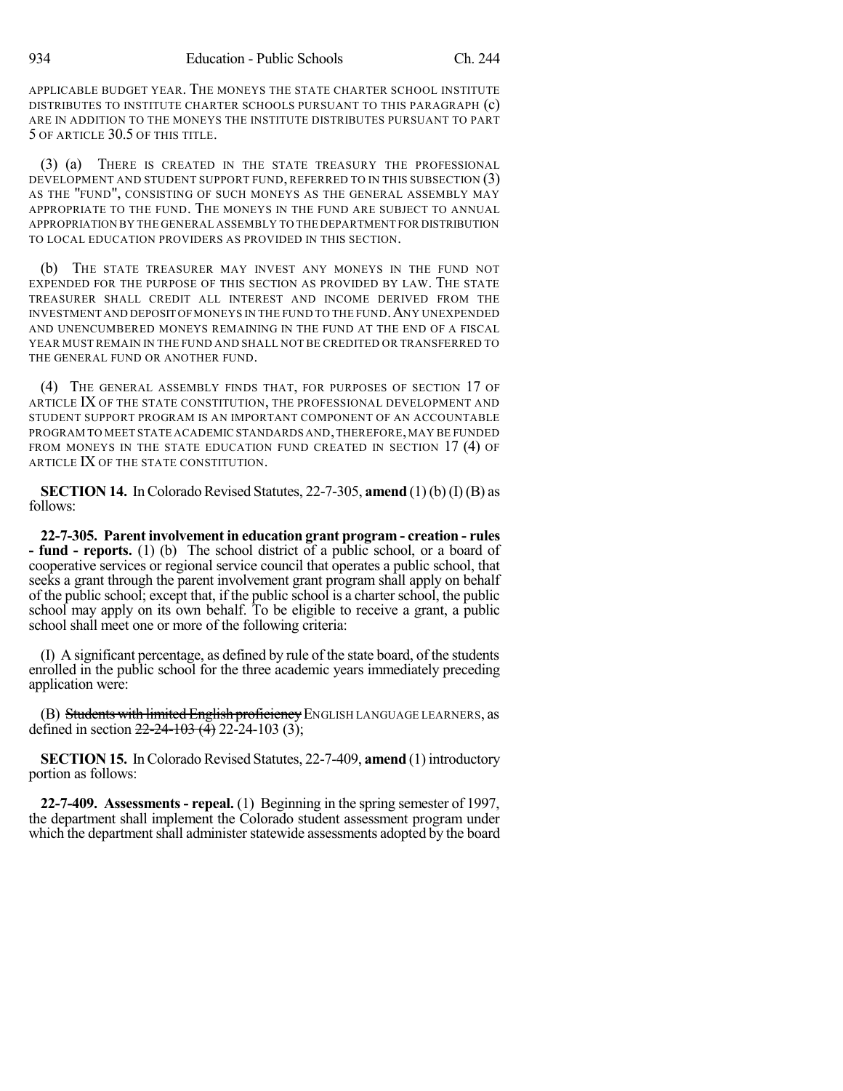APPLICABLE BUDGET YEAR. THE MONEYS THE STATE CHARTER SCHOOL INSTITUTE DISTRIBUTES TO INSTITUTE CHARTER SCHOOLS PURSUANT TO THIS PARAGRAPH (c) ARE IN ADDITION TO THE MONEYS THE INSTITUTE DISTRIBUTES PURSUANT TO PART 5 OF ARTICLE 30.5 OF THIS TITLE.

(3) (a) THERE IS CREATED IN THE STATE TREASURY THE PROFESSIONAL DEVELOPMENT AND STUDENT SUPPORT FUND, REFERRED TO IN THIS SUBSECTION (3) AS THE "FUND", CONSISTING OF SUCH MONEYS AS THE GENERAL ASSEMBLY MAY APPROPRIATE TO THE FUND. THE MONEYS IN THE FUND ARE SUBJECT TO ANNUAL APPROPRIATION BY THE GENERAL ASSEMBLY TO THE DEPARTMENT FOR DISTRIBUTION TO LOCAL EDUCATION PROVIDERS AS PROVIDED IN THIS SECTION.

(b) THE STATE TREASURER MAY INVEST ANY MONEYS IN THE FUND NOT EXPENDED FOR THE PURPOSE OF THIS SECTION AS PROVIDED BY LAW. THE STATE TREASURER SHALL CREDIT ALL INTEREST AND INCOME DERIVED FROM THE INVESTMENT AND DEPOSIT OFMONEYS IN THE FUND TO THE FUND.ANY UNEXPENDED AND UNENCUMBERED MONEYS REMAINING IN THE FUND AT THE END OF A FISCAL YEAR MUST REMAIN IN THE FUND AND SHALL NOT BE CREDITED OR TRANSFERRED TO THE GENERAL FUND OR ANOTHER FUND.

(4) THE GENERAL ASSEMBLY FINDS THAT, FOR PURPOSES OF SECTION 17 OF ARTICLE IX OF THE STATE CONSTITUTION, THE PROFESSIONAL DEVELOPMENT AND STUDENT SUPPORT PROGRAM IS AN IMPORTANT COMPONENT OF AN ACCOUNTABLE PROGRAM TO MEET STATE ACADEMIC STANDARDS AND,THEREFORE,MAY BE FUNDED FROM MONEYS IN THE STATE EDUCATION FUND CREATED IN SECTION 17 (4) OF ARTICLE IX OF THE STATE CONSTITUTION.

**SECTION 14.** In Colorado Revised Statutes, 22-7-305, **amend** (1)(b)(I)(B) as follows:

**22-7-305. Parent involvement in education grant program - creation - rules - fund - reports.** (1) (b) The school district of a public school, or a board of cooperative services or regional service council that operates a public school, that seeks a grant through the parent involvement grant program shall apply on behalf of the public school; except that, if the public school is a charterschool, the public school may apply on its own behalf. To be eligible to receive a grant, a public school shall meet one or more of the following criteria:

(I) A significant percentage, as defined by rule of the state board, of the students enrolled in the public school for the three academic years immediately preceding application were:

(B) Students with limited English proficiency ENGLISH LANGUAGE LEARNERS, as defined in section  $22-24-103$  (4) 22-24-103 (3);

**SECTION 15.** In Colorado Revised Statutes, 22-7-409, **amend** (1) introductory portion as follows:

**22-7-409. Assessments - repeal.** (1) Beginning in the spring semester of 1997, the department shall implement the Colorado student assessment program under which the department shall administer statewide assessments adopted by the board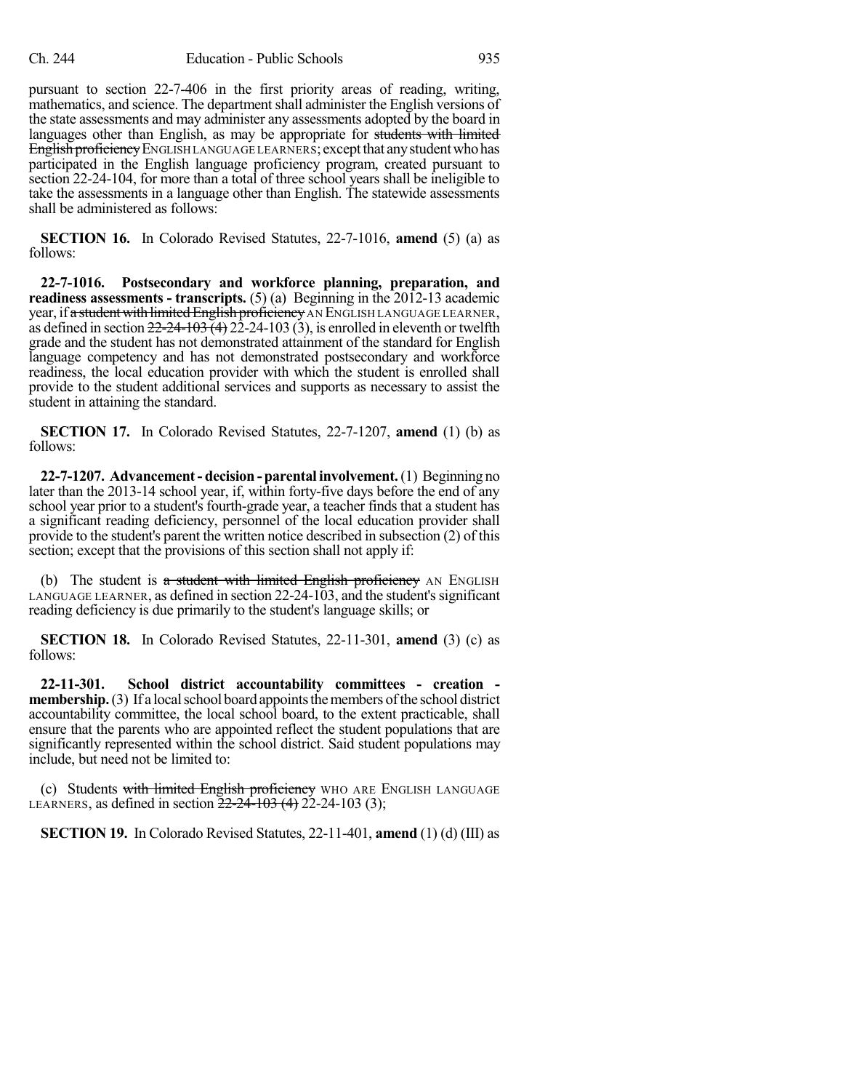pursuant to section 22-7-406 in the first priority areas of reading, writing, mathematics, and science. The department shall administer the English versions of the state assessments and may administer any assessments adopted by the board in languages other than English, as may be appropriate for students with limited English proficiency ENGLISH LANGUAGE LEARNERS; except that any student who has participated in the English language proficiency program, created pursuant to section 22-24-104, for more than a total of three school years shall be ineligible to take the assessments in a language other than English. The statewide assessments shall be administered as follows:

**SECTION 16.** In Colorado Revised Statutes, 22-7-1016, **amend** (5) (a) as follows:

**22-7-1016. Postsecondary and workforce planning, preparation, and readiness assessments - transcripts.** (5) (a) Beginning in the 2012-13 academic year, if a student with limited English proficiency AN ENGLISH LANGUAGE LEARNER, as defined in section  $22-24-103(3)$ , is enrolled in eleventh or twelfth grade and the student has not demonstrated attainment of the standard for English language competency and has not demonstrated postsecondary and workforce readiness, the local education provider with which the student is enrolled shall provide to the student additional services and supports as necessary to assist the student in attaining the standard.

**SECTION 17.** In Colorado Revised Statutes, 22-7-1207, **amend** (1) (b) as follows:

**22-7-1207. Advancement- decision - parental involvement.**(1) Beginning no later than the 2013-14 school year, if, within forty-five days before the end of any school year prior to a student's fourth-grade year, a teacher finds that a student has a significant reading deficiency, personnel of the local education provider shall provide to the student's parent the written notice described in subsection (2) of this section; except that the provisions of this section shall not apply if:

(b) The student is a student with limited English proficiency AN ENGLISH LANGUAGE LEARNER, as defined in section 22-24-103, and the student'ssignificant reading deficiency is due primarily to the student's language skills; or

**SECTION 18.** In Colorado Revised Statutes, 22-11-301, **amend** (3) (c) as follows:

**22-11-301. School district accountability committees - creation membership.** (3) If a local school board appoints the members of the school district accountability committee, the local school board, to the extent practicable, shall ensure that the parents who are appointed reflect the student populations that are significantly represented within the school district. Said student populations may include, but need not be limited to:

(c) Students with limited English proficiency WHO ARE ENGLISH LANGUAGE LEARNERS, as defined in section  $22-24-103$  (4) 22-24-103 (3);

**SECTION 19.** In Colorado Revised Statutes, 22-11-401, **amend** (1) (d) (III) as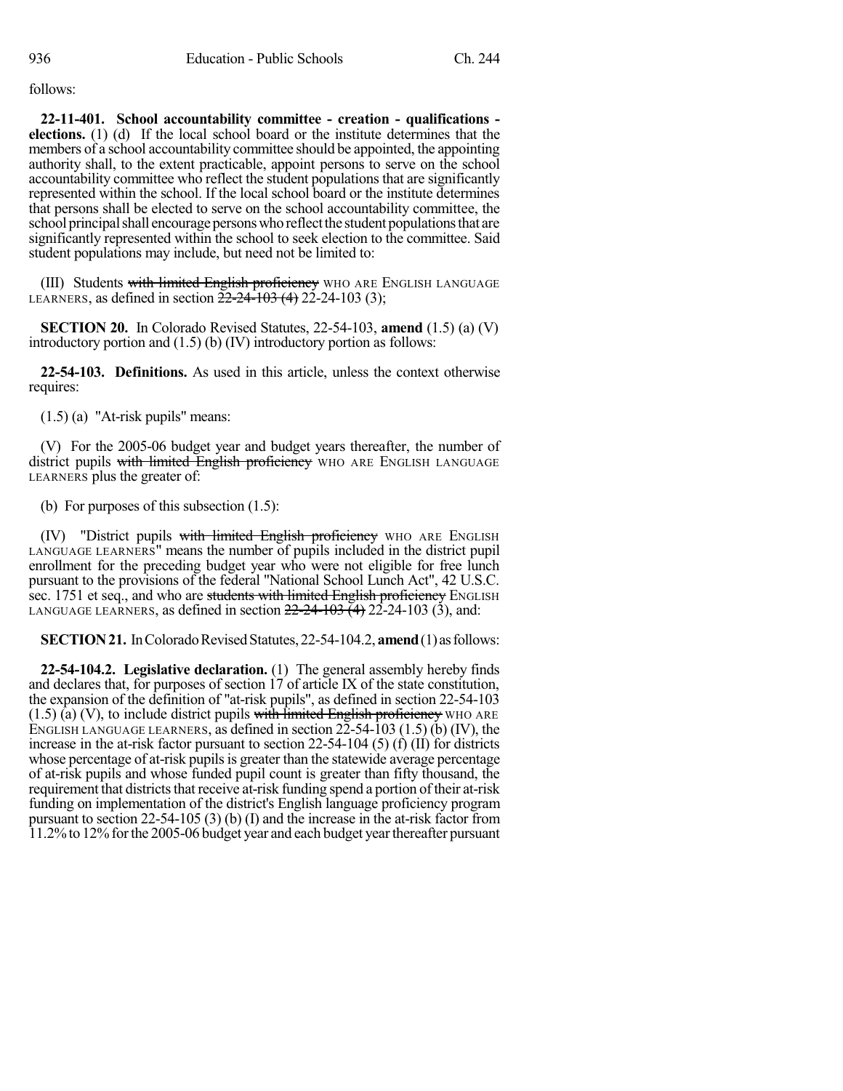follows:

**22-11-401. School accountability committee - creation - qualifications elections.** (1) (d) If the local school board or the institute determines that the members of a school accountability committee should be appointed, the appointing authority shall, to the extent practicable, appoint persons to serve on the school accountability committee who reflect the student populations that are significantly represented within the school. If the local school board or the institute determines that persons shall be elected to serve on the school accountability committee, the school principal shall encourage persons who reflect the student populations that are significantly represented within the school to seek election to the committee. Said student populations may include, but need not be limited to:

(III) Students with limited English proficiency WHO ARE ENGLISH LANGUAGE LEARNERS, as defined in section  $22-24-103(4)$  22-24-103 (3);

**SECTION 20.** In Colorado Revised Statutes, 22-54-103, **amend** (1.5) (a) (V) introductory portion and (1.5) (b) (IV) introductory portion as follows:

**22-54-103. Definitions.** As used in this article, unless the context otherwise requires:

(1.5) (a) "At-risk pupils" means:

(V) For the 2005-06 budget year and budget years thereafter, the number of district pupils with limited English proficiency WHO ARE ENGLISH LANGUAGE LEARNERS plus the greater of:

(b) For purposes of this subsection (1.5):

(IV) "District pupils with limited English proficiency WHO ARE ENGLISH LANGUAGE LEARNERS" means the number of pupils included in the district pupil enrollment for the preceding budget year who were not eligible for free lunch pursuant to the provisions of the federal "National School Lunch Act", 42 U.S.C. sec. 1751 et seq., and who are students with limited English proficiency ENGLISH LANGUAGE LEARNERS, as defined in section  $22-24-103(4)$   $22-24-103(3)$ , and:

**SECTION 21.** In Colorado Revised Statutes, 22-54-104.2, **amend** (1) as follows:

**22-54-104.2. Legislative declaration.** (1) The general assembly hereby finds and declares that, for purposes of section 17 of article IX of the state constitution, the expansion of the definition of "at-risk pupils", as defined in section 22-54-103  $(1.5)$  (a) (V), to include district pupils with limited English proficiency WHO ARE ENGLISH LANGUAGE LEARNERS, as defined in section  $22-54-103$  (1.5) (b) (IV), the increase in the at-risk factor pursuant to section  $22-54-104$  (5) (f) (II) for districts whose percentage of at-risk pupils is greater than the statewide average percentage of at-risk pupils and whose funded pupil count is greater than fifty thousand, the requirement that districts that receive at-risk funding spend a portion of their at-risk funding on implementation of the district's English language proficiency program pursuant to section 22-54-105 (3) (b) (I) and the increase in the at-risk factor from 11.2%to 12%forthe 2005-06 budget year and each budget yearthereafter pursuant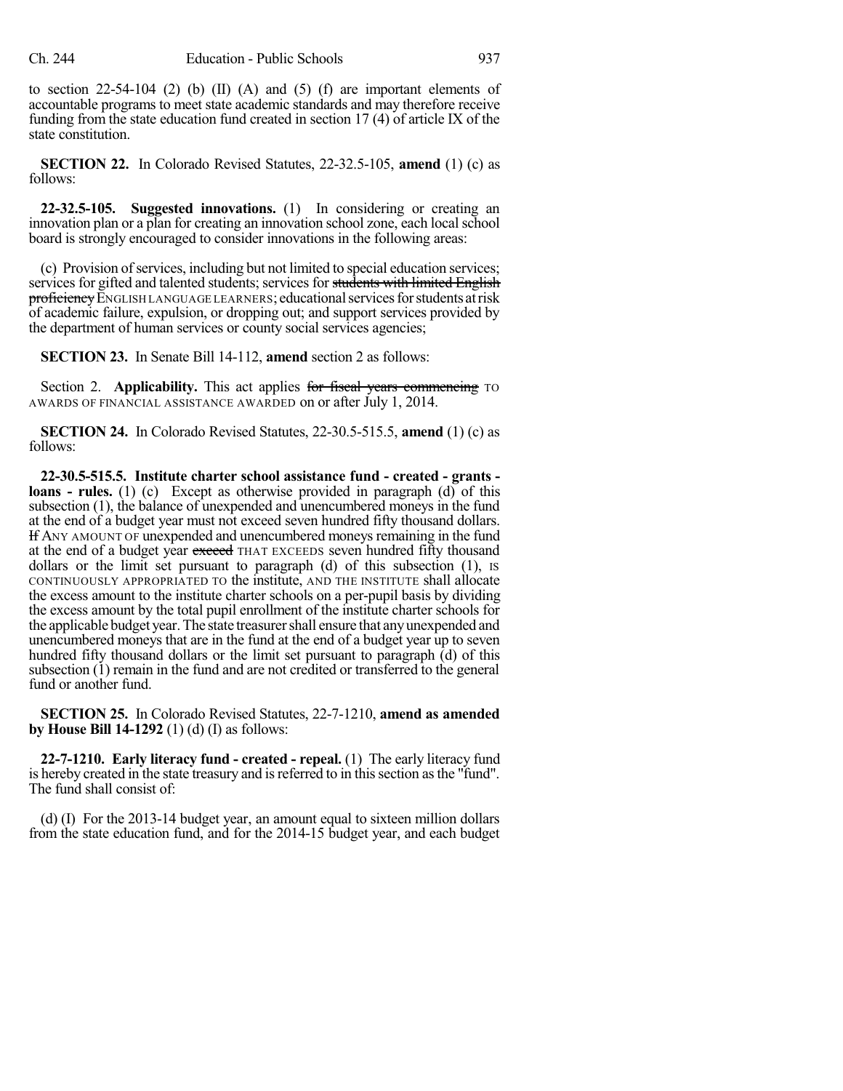to section  $22-54-104$  (2) (b) (II) (A) and (5) (f) are important elements of accountable programs to meet state academic standards and may therefore receive funding from the state education fund created in section 17 (4) of article IX of the state constitution.

**SECTION 22.** In Colorado Revised Statutes, 22-32.5-105, **amend** (1) (c) as follows:

**22-32.5-105. Suggested innovations.** (1) In considering or creating an innovation plan or a plan for creating an innovation school zone, each localschool board is strongly encouraged to consider innovations in the following areas:

(c) Provision of services, including but not limited to special education services; services for gifted and talented students; services for <del>students with limited English</del> proficiency ENGLISH LANGUAGE LEARNERS; educational services for students at risk of academic failure, expulsion, or dropping out; and support services provided by the department of human services or county social services agencies;

**SECTION 23.** In Senate Bill 14-112, **amend** section 2 as follows:

Section 2. **Applicability.** This act applies for fiscal years commencing TO AWARDS OF FINANCIAL ASSISTANCE AWARDED on or after July 1, 2014.

**SECTION 24.** In Colorado Revised Statutes, 22-30.5-515.5, **amend** (1) (c) as follows:

**22-30.5-515.5. Institute charter school assistance fund - created - grants loans - rules.** (1) (c) Except as otherwise provided in paragraph (d) of this subsection (1), the balance of unexpended and unencumbered moneys in the fund at the end of a budget year must not exceed seven hundred fifty thousand dollars. If ANY AMOUNT OF unexpended and unencumbered moneys remaining in the fund at the end of a budget year exceed THAT EXCEEDS seven hundred fifty thousand dollars or the limit set pursuant to paragraph (d) of this subsection (1), is CONTINUOUSLY APPROPRIATED TO the institute, AND THE INSTITUTE shall allocate the excess amount to the institute charter schools on a per-pupil basis by dividing the excess amount by the total pupil enrollment of the institute charter schools for the applicable budget year.The state treasurershall ensure that anyunexpended and unencumbered moneys that are in the fund at the end of a budget year up to seven hundred fifty thousand dollars or the limit set pursuant to paragraph (d) of this subsection (1) remain in the fund and are not credited or transferred to the general fund or another fund.

**SECTION 25.** In Colorado Revised Statutes, 22-7-1210, **amend as amended by House Bill 14-1292** (1) (d) (I) as follows:

**22-7-1210. Early literacy fund - created - repeal.** (1) The early literacy fund is hereby created in the state treasury and is referred to in this section as the "fund". The fund shall consist of:

(d) (I) For the 2013-14 budget year, an amount equal to sixteen million dollars from the state education fund, and for the 2014-15 budget year, and each budget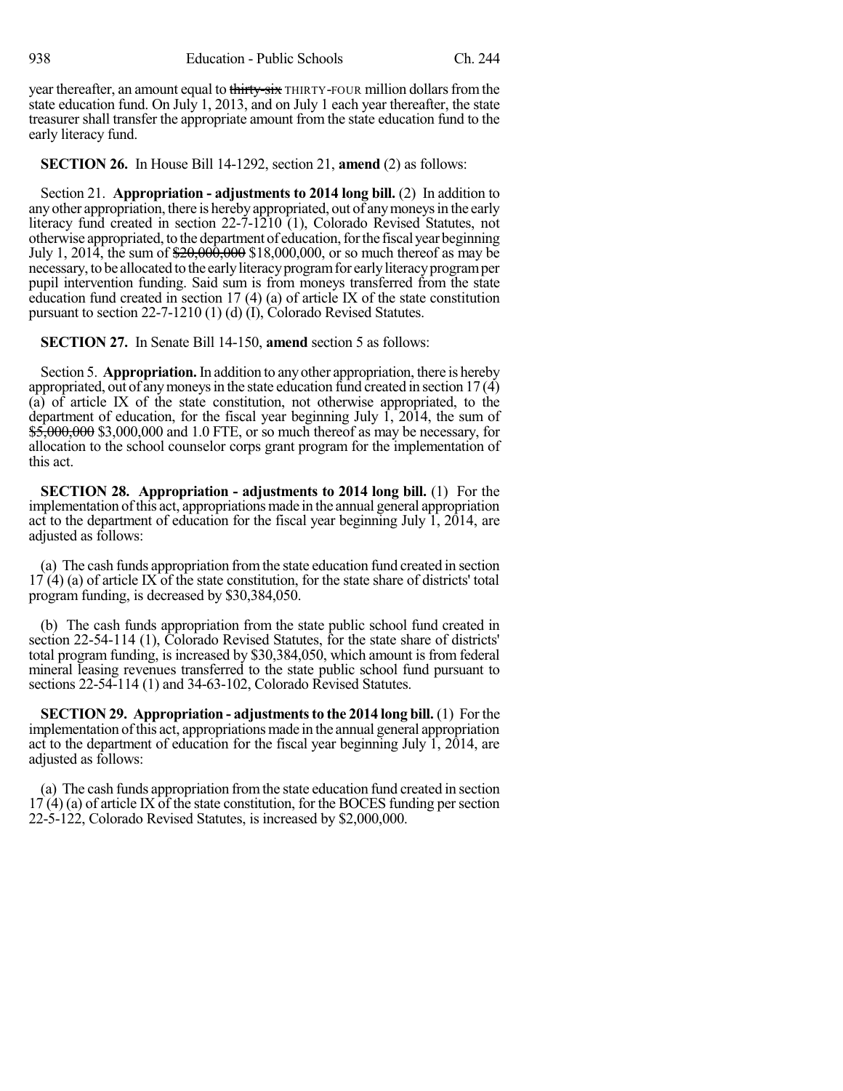year thereafter, an amount equal to thirty-six THIRTY-FOUR million dollars from the state education fund. On July 1, 2013, and on July 1 each year thereafter, the state treasurer shall transfer the appropriate amount from the state education fund to the early literacy fund.

**SECTION 26.** In House Bill 14-1292, section 21, **amend** (2) as follows:

Section 21. **Appropriation - adjustments to 2014 long bill.** (2) In addition to any other appropriation, there is hereby appropriated, out of any moneys in the early literacy fund created in section 22-7-1210 (1), Colorado Revised Statutes, not otherwise appropriated, to the department of education,forthe fiscalyear beginning July 1, 2014, the sum of  $\frac{$20,000,000}{20,000,000}$ , or so much thereof as may be necessary, to be allocated to the earlyliteracyprogramfor earlyliteracyprogramper pupil intervention funding. Said sum is from moneys transferred from the state education fund created in section 17  $(4)$  (a) of article IX of the state constitution pursuant to section 22-7-1210 (1) (d) (I), Colorado Revised Statutes.

**SECTION 27.** In Senate Bill 14-150, **amend** section 5 as follows:

Section 5. **Appropriation.**In addition to anyother appropriation, there is hereby appropriated, out of any moneys in the state education fund created in section  $17(4)$ (a) of article IX of the state constitution, not otherwise appropriated, to the department of education, for the fiscal year beginning July  $\hat{1}$ , 2014, the sum of \$5,000,000 \$3,000,000 and 1.0 FTE, or so much thereof as may be necessary, for allocation to the school counselor corps grant program for the implementation of this act.

**SECTION 28. Appropriation - adjustments to 2014 long bill.** (1) For the implementation ofthis act, appropriations made in the annual general appropriation act to the department of education for the fiscal year beginning July 1, 2014, are adjusted as follows:

(a) The cash funds appropriation fromthe state education fund created in section 17 (4) (a) of article IX of the state constitution, for the state share of districts' total program funding, is decreased by \$30,384,050.

(b) The cash funds appropriation from the state public school fund created in section 22-54-114 (1), Colorado Revised Statutes, for the state share of districts' total program funding, is increased by \$30,384,050, which amount is from federal mineral leasing revenues transferred to the state public school fund pursuant to sections 22-54-114 (1) and 34-63-102, Colorado Revised Statutes.

**SECTION 29.** Appropriation - adjustments to the 2014 long bill. (1) For the implementation ofthis act, appropriations made in the annual general appropriation act to the department of education for the fiscal year beginning July 1, 2014, are adjusted as follows:

(a) The cash funds appropriation fromthe state education fund created in section  $17(4)$  (a) of article IX of the state constitution, for the BOCES funding per section 22-5-122, Colorado Revised Statutes, is increased by \$2,000,000.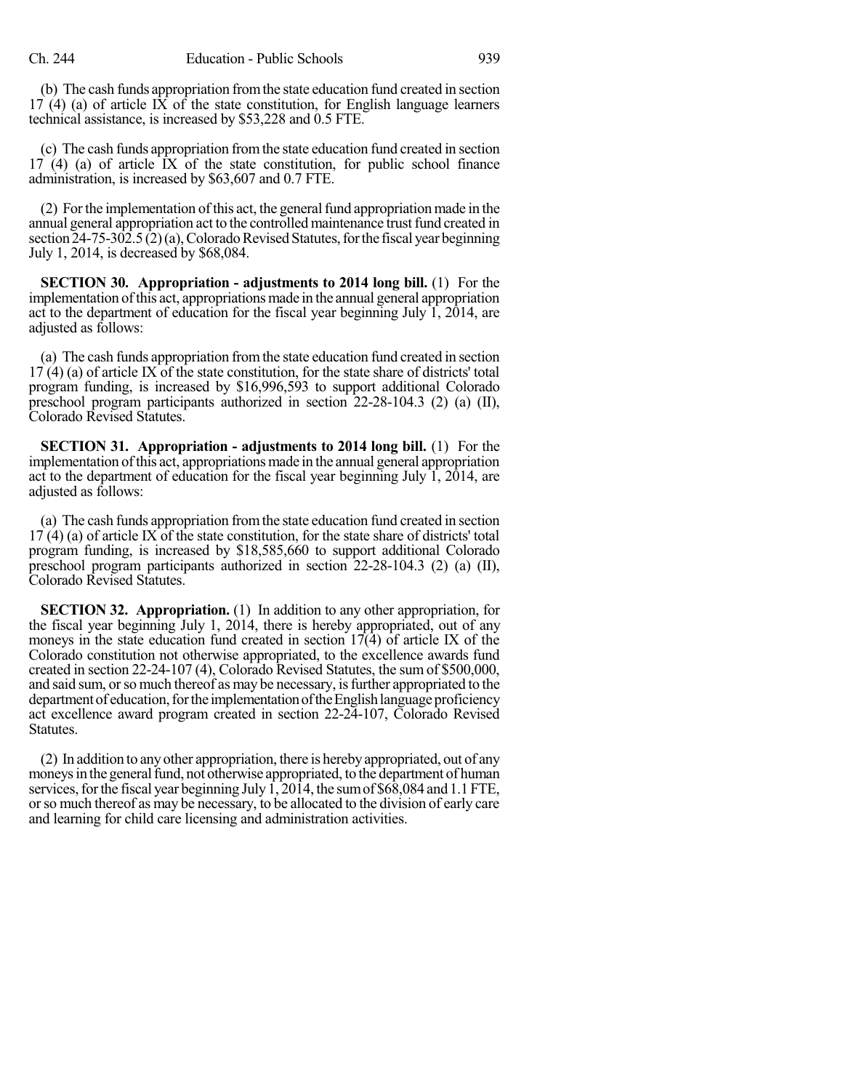(b) The cash funds appropriation fromthe state education fund created in section  $17$  (4) (a) of article IX of the state constitution, for English language learners technical assistance, is increased by \$53,228 and 0.5 FTE.

(c) The cash funds appropriation fromthe state education fund created in section 17 (4) (a) of article IX of the state constitution, for public school finance administration, is increased by \$63,607 and 0.7 FTE.

(2) For the implementation of this act, the general fund appropriation made in the annual general appropriation act to the controlled maintenance trust fund created in section  $24-75-302.5(2)(a)$ , Colorado Revised Statutes, for the fiscal year beginning July 1, 2014, is decreased by \$68,084.

**SECTION 30. Appropriation - adjustments to 2014 long bill.** (1) For the implementation ofthis act, appropriations made in the annual general appropriation act to the department of education for the fiscal year beginning July 1, 2014, are adjusted as follows:

(a) The cash funds appropriation fromthe state education fund created in section  $17(4)$  (a) of article IX of the state constitution, for the state share of districts' total program funding, is increased by \$16,996,593 to support additional Colorado preschool program participants authorized in section 22-28-104.3 (2) (a) (II), Colorado Revised Statutes.

**SECTION 31. Appropriation - adjustments to 2014 long bill.** (1) For the implementation ofthis act, appropriations made in the annual general appropriation act to the department of education for the fiscal year beginning July  $\hat{1}$ ,  $\hat{2014}$ , are adjusted as follows:

(a) The cash funds appropriation fromthe state education fund created in section 17 (4) (a) of article IX of the state constitution, for the state share of districts' total program funding, is increased by \$18,585,660 to support additional Colorado preschool program participants authorized in section 22-28-104.3 (2) (a) (II), Colorado Revised Statutes.

**SECTION 32. Appropriation.** (1) In addition to any other appropriation, for the fiscal year beginning July 1, 2014, there is hereby appropriated, out of any moneys in the state education fund created in section  $17(4)$  of article IX of the Colorado constitution not otherwise appropriated, to the excellence awards fund created in section 22-24-107 (4), Colorado Revised Statutes, the sum of \$500,000, and said sum, or so much thereof as may be necessary, is further appropriated to the department of education, for the implementation of the English language proficiency act excellence award program created in section 22-24-107, Colorado Revised Statutes.

(2) In addition to anyother appropriation, there is herebyappropriated, out of any moneys in the general fund, not otherwise appropriated, to the department of human services, for the fiscal year beginning July  $\hat{1,2014}$ , the sum of \$68,084 and 1.1 FTE, orso much thereof as may be necessary, to be allocated to the division of early care and learning for child care licensing and administration activities.